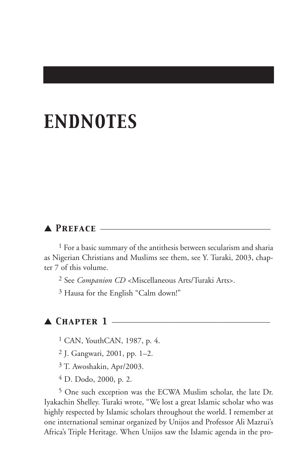# *ENDNOTES*

## ▲ *Preface* \_\_\_\_\_\_\_\_\_\_\_\_\_\_\_\_\_\_\_\_\_\_\_\_\_\_\_\_\_\_\_\_\_\_\_\_\_\_\_\_\_\_

<sup>1</sup> For a basic summary of the antithesis between secularism and sharia as Nigerian Christians and Muslims see them, see Y. Turaki, 2003, chapter 7 of this volume.

2 See *Companion CD* <Miscellaneous Arts/Turaki Arts>.

3 Hausa for the English "Calm down!"

# $\blacktriangle$  *Chapter 1*  $-$

1 CAN, YouthCAN, 1987, p. 4.

2 J. Gangwari, 2001, pp. 1–2.

3 T. Awoshakin, Apr/2003.

4 D. Dodo, 2000, p. 2.

5 One such exception was the ECWA Muslim scholar, the late Dr. Iyakachin Shelley. Turaki wrote, "We lost a great Islamic scholar who was highly respected by Islamic scholars throughout the world. I remember at one international seminar organized by Unijos and Professor Ali Mazrui's Africa's Triple Heritage. When Unijos saw the Islamic agenda in the pro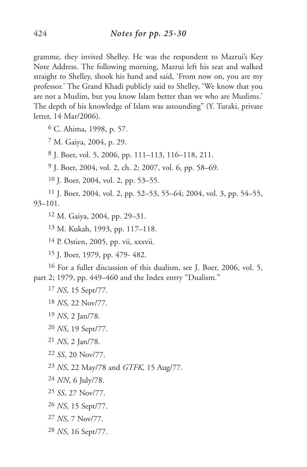gramme, they invited Shelley. He was the respondent to Mazrui's Key Note Address. The following morning, Mazrui left his seat and walked straight to Shelley, shook his hand and said, 'From now on, you are my professor.' The Grand Khadi publicly said to Shelley, 'We know that you are not a Muslim, but you know Islam better than we who are Muslims.' The depth of his knowledge of Islam was astounding" (Y. Turaki, private letter, 14 Mar/2006).

C. Ahima, 1998, p. 57.

M. Gaiya, 2004, p. 29.

J. Boer, vol. 5, 2006, pp. 111–113, 116–118, 211.

J. Boer, 2004, vol. 2, ch. 2; 2007, vol. 6, pp. 58–69.

J. Boer, 2004, vol. 2, pp. 53–55.

 J. Boer, 2004, vol. 2, pp. 52–53, 55–64; 2004, vol. 3, pp. 54–55, 93–101.

M. Gaiya, 2004, pp. 29–31.

M. Kukah, 1993, pp. 117–118.

P. Ostien, 2005, pp. vii, xxxvii.

J. Boer, 1979, pp. 479- 482.

 For a fuller discussion of this dualism, see J. Boer, 2006, vol. 5, part 2; 1979, pp. 449–460 and the Index entry "Dualism."

- *SS*, 20 Nov/77.
- *NS*, 22 May/78 and *GTFK*, 15 Aug/77.
- *NN*, 6 July/78.
- *SS*, 27 Nov/77.
- *NS*, 15 Sept/77.
- *NS*, 7 Nov/77.
- *NS*, 16 Sept/77.

*NS*, 15 Sept/77.

*NS*, 22 Nov/77.

*NS*, 2 Jan/78.

*NS*, 19 Sept/77.

*NS*, 2 Jan/78.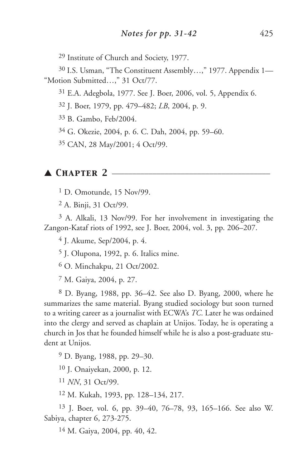Institute of Church and Society, 1977.

 I.S. Usman, "The Constituent Assembly…," 1977. Appendix 1— "Motion Submitted…," 31 Oct/77.

E.A. Adegbola, 1977. See J. Boer, 2006, vol. 5, Appendix 6.

J. Boer, 1979, pp. 479–482; *LB*, 2004, p. 9.

B. Gambo, Feb/2004.

G. Okezie, 2004, p. 6. C. Dah, 2004, pp. 59–60.

CAN, 28 May/2001; 4 Oct/99.

#### ▲ **CHAPTER 2** ——

D. Omotunde, 15 Nov/99.

A. Binji, 31 Oct/99.

 A. Alkali, 13 Nov/99. For her involvement in investigating the Zangon-Kataf riots of 1992, see J. Boer, 2004, vol. 3, pp. 206–207.

J. Akume, Sep/2004, p. 4.

J. Olupona, 1992, p. 6. Italics mine.

O. Minchakpu, 21 Oct/2002.

M. Gaiya, 2004, p. 27.

 D. Byang, 1988, pp. 36–42. See also D. Byang, 2000, where he summarizes the same material. Byang studied sociology but soon turned to a writing career as a journalist with ECWA's *TC*. Later he was ordained into the clergy and served as chaplain at Unijos. Today, he is operating a church in Jos that he founded himself while he is also a post-graduate student at Unijos.

D. Byang, 1988, pp. 29–30.

J. Onaiyekan, 2000, p. 12.

*NN*, 31 Oct/99.

M. Kukah, 1993, pp. 128–134, 217.

 J. Boer, vol. 6, pp. 39–40, 76–78, 93, 165–166. See also W. Sabiya, chapter 6, 273-275.

M. Gaiya, 2004, pp. 40, 42.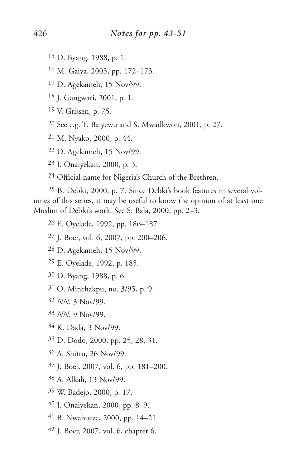- D. Byang, 1988, p. 1.
- M. Gaiya, 2005, pp. 172–173.
- D. Agekameh, 15 Nov/99.
- J. Gangwari, 2001, p. 1.
- V. Grissen, p. 75.
- See e.g. T. Baiyewu and S. Mwadkwon, 2001, p. 27.
- M. Nyako, 2000, p. 44.
- D. Agekameh, 15 Nov/99.
- J. Onaiyekan, 2000, p. 3.
- Official name for Nigeria's Church of the Brethren.

 B. Debki, 2000, p. 7. Since Debki's book features in several volumes of this series, it may be useful to know the opinion of at least one Muslim of Debki's work. See S. Bala, 2000, pp. 2–3.

- E. Oyelade, 1992, pp. 186–187.
- J. Boer, vol. 6, 2007, pp. 200–206.
- D. Agekameh, 15 Nov/99.
- E. Oyelade, 1992, p. 185.
- D. Byang, 1988, p. 6.
- O. Minchakpu, no. 3/95, p. 9.
- *NN*, 3 Nov/99.
- *NN*, 9 Nov/99.
- K. Dada, 3 Nov/99.
- D. Dodo, 2000, pp. 25, 28, 31.
- A. Shittu, 26 Nov/99.
- J. Boer, 2007, vol. 6, pp. 181–200.
- A. Alkali, 13 Nov/99.
- W. Badejo, 2000, p. 17.
- J. Onaiyekan, 2000, pp. 8–9.
- B. Nwabueze, 2000, pp. 14–21.
- J. Boer, 2007, vol. 6, chapter 6.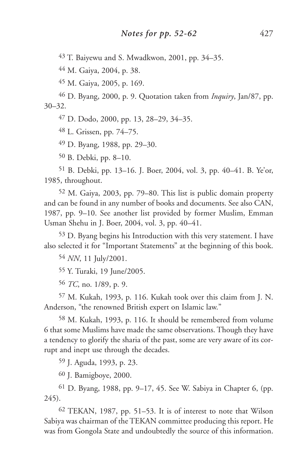43 T. Baiyewu and S. Mwadkwon, 2001, pp. 34–35.

44 M. Gaiya, 2004, p. 38.

45 M. Gaiya, 2005, p. 169.

46 D. Byang, 2000, p. 9. Quotation taken from *Inquiry*, Jan/87, pp. 30–32.

47 D. Dodo, 2000, pp. 13, 28–29, 34–35.

48 L. Grissen, pp. 74–75.

49 D. Byang, 1988, pp. 29–30.

50 B. Debki, pp. 8–10.

51 B. Debki, pp. 13–16. J. Boer, 2004, vol. 3, pp. 40–41. B. Ye'or, 1985, throughout.

52 M. Gaiya, 2003, pp. 79–80. This list is public domain property and can be found in any number of books and documents. See also CAN, 1987, pp. 9–10. See another list provided by former Muslim, Emman Usman Shehu in J. Boer, 2004, vol. 3, pp. 40–41.

53 D. Byang begins his Introduction with this very statement. I have also selected it for "Important Statements" at the beginning of this book.

54 *NN*, 11 July/2001.

55 Y. Turaki, 19 June/2005.

56 *TC*, no. 1/89, p. 9.

57 M. Kukah, 1993, p. 116. Kukah took over this claim from J. N. Anderson, "the renowned British expert on Islamic law."

58 M. Kukah, 1993, p. 116. It should be remembered from volume 6 that some Muslims have made the same observations. Though they have a tendency to glorify the sharia of the past, some are very aware of its corrupt and inept use through the decades.

59 J. Aguda, 1993, p. 23.

60 J. Bamigboye, 2000.

61 D. Byang, 1988, pp. 9–17, 45. See W. Sabiya in Chapter 6, (pp. 245).

62 TEKAN, 1987, pp. 51–53. It is of interest to note that Wilson Sabiya was chairman of the TEKAN committee producing this report. He was from Gongola State and undoubtedly the source of this information.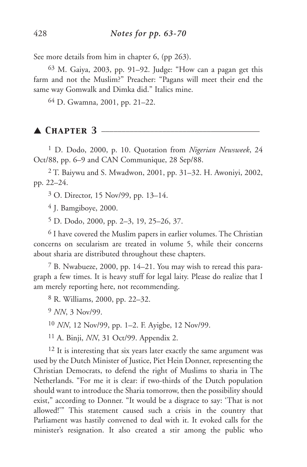See more details from him in chapter 6, (pp 263).

63 M. Gaiya, 2003, pp. 91–92. Judge: "How can a pagan get this farm and not the Muslim?" Preacher: "Pagans will meet their end the same way Gomwalk and Dimka did." Italics mine.

64 D. Gwamna, 2001, pp. 21–22.

## ▲ Снарте**r** 3 -

1 D. Dodo, 2000, p. 10. Quotation from *Nigerian Newsweek*, 24 Oct/88, pp. 6–9 and CAN Communique, 28 Sep/88.

2 T. Baiywu and S. Mwadwon, 2001, pp. 31–32. H. Awoniyi, 2002, pp. 22–24.

3 O. Director, 15 Nov/99, pp. 13–14.

4 J. Bamgiboye, 2000.

5 D. Dodo, 2000, pp. 2–3, 19, 25–26, 37.

6 I have covered the Muslim papers in earlier volumes. The Christian concerns on secularism are treated in volume 5, while their concerns about sharia are distributed throughout these chapters.

7 B. Nwabueze, 2000, pp. 14–21. You may wish to reread this paragraph a few times. It is heavy stuff for legal laity. Please do realize that I am merely reporting here, not recommending.

8 R. Williams, 2000, pp. 22–32.

9 *NN*, 3 Nov/99.

10 *NN*, 12 Nov/99, pp. 1–2. F. Ayigbe, 12 Nov/99.

11 A. Binji, *NN*, 31 Oct/99. Appendix 2.

<sup>12</sup> It is interesting that six years later exactly the same argument was used by the Dutch Minister of Justice, Piet Hein Donner, representing the Christian Democrats, to defend the right of Muslims to sharia in The Netherlands. "For me it is clear: if two-thirds of the Dutch population should want to introduce the Sharia tomorrow, then the possibility should exist," according to Donner. "It would be a disgrace to say: 'That is not allowed!'" This statement caused such a crisis in the country that Parliament was hastily convened to deal with it. It evoked calls for the minister's resignation. It also created a stir among the public who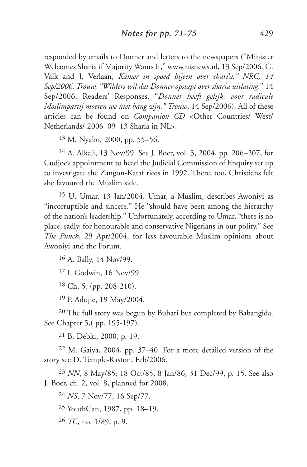responded by emails to Donner and letters to the newspapers ("Minister Welcomes Sharia if Majority Wants It," www.nisnews.nl, 13 Sep/2006. G. Valk and J. Verlaan, *Kamer in spoed bijeen over shari'a." NRC, 14 Sep/2006. Trouw, "Wilders wil dat Donner opstapt over sharia uitlating*." 14 Sep/2006. Readers' Responses, "*Donner heeft gelijk: voor radicale Moslimpartij moeten we niet bang zijn." Trouw*, 14 Sep/2006). All of these articles can be found on *Companion CD* <Other Countries/ West/ Netherlands/ 2006–09–13 Sharia in NL>.

13 M. Nyako, 2000, pp. 55–56.

14 A. Alkali, 13 Nov/99. See J. Boer, vol. 3, 2004, pp. 206–207, for Cudjoe's appointment to head the Judicial Commission of Enquiry set up to investigate the Zangon-Kataf riots in 1992. There, too, Christians felt she favoured the Muslim side.

15 U. Umar, 13 Jan/2004. Umar, a Muslim, describes Awoniyi as "incorruptible and sincere." He "should have been among the hierarchy of the nation's leadership." Unfortunately, according to Umar, "there is no place, sadly, for honourable and conservative Nigerians in our polity." See *The Punch*, 29 Apr/2004, for less favourable Muslim opinions about Awoniyi and the Forum.

16 A. Bally, 14 Nov/99.

17 I. Godwin, 16 Nov/99.

18 Ch. 5, (pp. 208-210).

19 P. Adujie, 19 May/2004.

20 The full story was begun by Buhari but completed by Babangida. See Chapter 5,( pp. 195-197).

21 B. Debki, 2000, p. 19.

22 M. Gaiya, 2004, pp. 37–40. For a more detailed version of the story see D. Temple-Raston, Feb/2006.

23 *NN*, 8 May/85; 18 Oct/85; 8 Jan/86; 31 Dec/99, p. 15. See also J. Boer, ch. 2, vol. 8, planned for 2008.

24 *NS*, 7 Nov/77, 16 Sep/77.

25 YouthCan, 1987, pp. 18–19.

26 *TC*, no. 1/89, p. 9.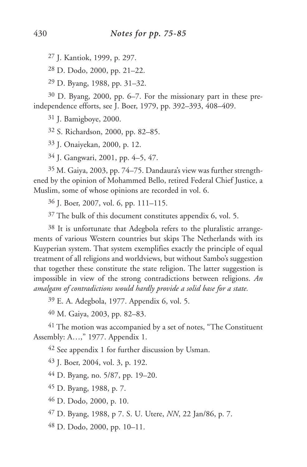J. Kantiok, 1999, p. 297.

D. Dodo, 2000, pp. 21–22.

D. Byang, 1988, pp. 31–32.

 D. Byang, 2000, pp. 6–7. For the missionary part in these preindependence efforts, see J. Boer, 1979, pp. 392–393, 408–409.

J. Bamigboye, 2000.

S. Richardson, 2000, pp. 82–85.

J. Onaiyekan, 2000, p. 12.

J. Gangwari, 2001, pp. 4–5, 47.

 M. Gaiya, 2003, pp. 74–75. Dandaura's view was further strengthened by the opinion of Mohammed Bello, retired Federal Chief Justice, a Muslim, some of whose opinions are recorded in vol. 6.

J. Boer, 2007, vol. 6, pp. 111–115.

The bulk of this document constitutes appendix 6, vol. 5.

 It is unfortunate that Adegbola refers to the pluralistic arrangements of various Western countries but skips The Netherlands with its Kuyperian system. That system exemplifies exactly the principle of equal treatment of all religions and worldviews, but without Sambo's suggestion that together these constitute the state religion. The latter suggestion is impossible in view of the strong contradictions between religions. *An amalgam of contradictions would hardly provide a solid base for a state.*

E. A. Adegbola, 1977. Appendix 6, vol. 5.

M. Gaiya, 2003, pp. 82–83.

 The motion was accompanied by a set of notes, "The Constituent Assembly: A…," 1977. Appendix 1.

See appendix 1 for further discussion by Usman.

J. Boer, 2004, vol. 3, p. 192.

D. Byang, no. 5/87, pp. 19–20.

D. Byang, 1988, p. 7.

D. Dodo, 2000, p. 10.

D. Byang, 1988, p 7. S. U. Utere, *NN*, 22 Jan/86, p. 7.

D. Dodo, 2000, pp. 10–11.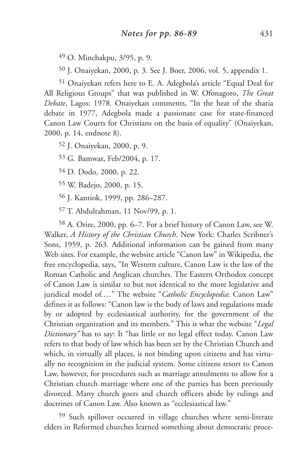49 O. Minchakpu, 3/95, p. 9.

50 J. Onaiyekan, 2000, p. 3. See J. Boer, 2006, vol. 5, appendix 1.

51 Onaiyekan refers here to E. A. Adegbola's article "Equal Deal for All Religious Groups" that was published in W. Ofonagoro, *The Great Debate*, Lagos: 1978. Onaiyekan comments, "In the heat of the sharia debate in 1977, Adegbola made a passionate case for state-financed Canon Law Courts for Christians on the basis of equality" (Onaiyekan, 2000, p. 14, endnote 8).

52 J. Onaiyekan, 2000, p. 9.

53 G. Bamwat, Feb/2004, p. 17.

54 D. Dodo, 2000, p. 22.

55 W. Badejo, 2000, p. 15.

56 J. Kantiok, 1999, pp. 286–287.

57 T. Abdulrahman, 11 Nov/99, p. 1.

58 A. Orire, 2000, pp. 6–7. For a brief history of Canon Law, see W. Walker, *A History of the Christian Church*. New York: Charles Scribner's Sons, 1959, p. 263. Additional information can be gained from many Web sites. For example, the website article "Canon law" in Wikipedia, the free encyclopedia, says, "In Western culture, Canon Law is the law of the Roman Catholic and Anglican churches. The Eastern Orthodox concept of Canon Law is similar to but not identical to the more legislative and juridical model of.…" The website "*Catholic Encyclopedia*: Canon Law" defines it as follows: "Canon law is the body of laws and regulations made by or adopted by ecclesiastical authority, for the government of the Christian organization and its members." This is what the website "*Legal Dictionary"* has to say: It "has little or no legal effect today. Canon Law refers to that body of law which has been set by the Christian Church and which, in virtually all places, is not binding upon citizens and has virtually no recognition in the judicial system. Some citizens resort to Canon Law, however, for procedures such as marriage annulments to allow for a Christian church marriage where one of the parties has been previously divorced. Many church goers and church officers abide by rulings and doctrines of Canon Law. Also known as "ecclesiastical law."

59 Such spillover occurred in village churches where semi-literate elders in Reformed churches learned something about democratic proce-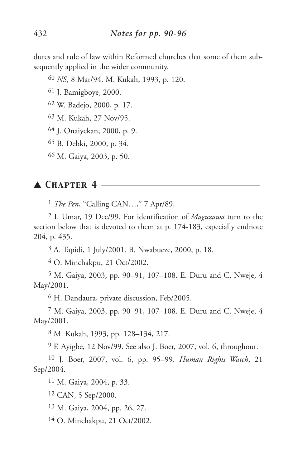dures and rule of law within Reformed churches that some of them subsequently applied in the wider community.

*NS*, 8 Mar/94. M. Kukah, 1993, p. 120.

J. Bamigboye, 2000.

W. Badejo, 2000, p. 17.

M. Kukah, 27 Nov/95.

J. Onaiyekan, 2000, p. 9.

B. Debki, 2000, p. 34.

M. Gaiya, 2003, p. 50.

#### ▲ *Chapter 4* \_\_\_\_\_\_\_\_\_\_\_\_\_\_\_\_\_\_\_\_\_\_\_\_\_\_\_\_\_\_\_\_\_\_\_\_\_\_\_

*The Pen*, "Calling CAN…," 7 Apr/89.

 I. Umar, 19 Dec/99. For identification of *Maguzawa* turn to the section below that is devoted to them at p. 174-183, especially endnote 204, p. 435.

A. Tapidi, 1 July/2001. B. Nwabueze, 2000, p. 18.

O. Minchakpu, 21 Oct/2002.

 M. Gaiya, 2003, pp. 90–91, 107–108. E. Duru and C. Nweje, 4 May/2001.

H. Dandaura, private discussion, Feb/2005.

 M. Gaiya, 2003, pp. 90–91, 107–108. E. Duru and C. Nweje, 4 May/2001.

M. Kukah, 1993, pp. 128–134, 217.

F. Ayigbe, 12 Nov/99. See also J. Boer, 2007, vol. 6, throughout.

 J. Boer, 2007, vol. 6, pp. 95–99. *Human Rights Watch*, 21 Sep/2004.

M. Gaiya, 2004, p. 33.

CAN, 5 Sep/2000.

M. Gaiya, 2004, pp. 26, 27.

O. Minchakpu, 21 Oct/2002.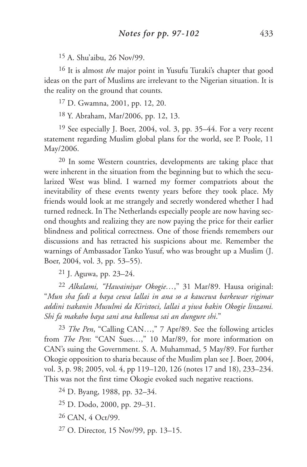15 A. Shu'aibu, 26 Nov/99.

16 It is almost *the* major point in Yusufu Turaki's chapter that good ideas on the part of Muslims are irrelevant to the Nigerian situation. It is the reality on the ground that counts.

17 D. Gwamna, 2001, pp. 12, 20.

18 Y. Abraham, Mar/2006, pp. 12, 13.

19 See especially J. Boer, 2004, vol. 3, pp. 35–44. For a very recent statement regarding Muslim global plans for the world, see P. Poole, 11 May/2006.

20 In some Western countries, developments are taking place that were inherent in the situation from the beginning but to which the secularized West was blind. I warned my former compatriots about the inevitability of these events twenty years before they took place. My friends would look at me strangely and secretly wondered whether I had turned redneck. In The Netherlands especially people are now having second thoughts and realizing they are now paying the price for their earlier blindness and political correctness. One of those friends remembers our discussions and has retracted his suspicions about me. Remember the warnings of Ambassador Tanko Yusuf, who was brought up a Muslim (J. Boer, 2004, vol. 3, pp. 53–55).

21 J. Aguwa, pp. 23–24.

22 *Alkalami, "Hawainiyar Okogie…*," 31 Mar/89. Hausa original: "*Mun sha fadi a baya cewa lallai in ana so a kaucewa barkewar rigimar addini tsakanin Musulmi da Kiristoci, lallai a yiwa bakin Okogie linzami. Shi fa makaho baya sani ana kallonsa sai an dungure shi*."

23 *The Pen*, "Calling CAN…," 7 Apr/89. See the following articles from *The Pen*: "CAN Sues...," 10 Mar/89, for more information on CAN's suing the Government. S. A. Muhammad, 5 May/89. For further Okogie opposition to sharia because of the Muslim plan see J. Boer, 2004, vol. 3, p. 98; 2005, vol. 4, pp 119–120, 126 (notes 17 and 18), 233–234. This was not the first time Okogie evoked such negative reactions.

24 D. Byang, 1988, pp. 32–34.

25 D. Dodo, 2000, pp. 29–31.

26 CAN, 4 Oct/99.

27 O. Director, 15 Nov/99, pp. 13–15.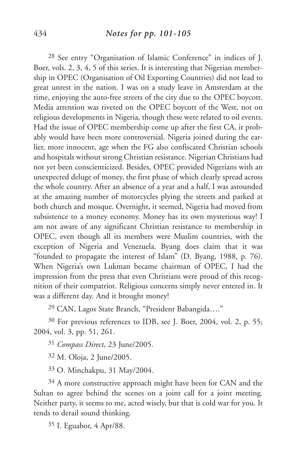28 See entry "Organisation of Islamic Conference" in indices of J. Boer, vols. 2, 3, 4, 5 of this series. It is interesting that Nigerian membership in OPEC (Organisation of Oil Exporting Countries) did not lead to great unrest in the nation. I was on a study leave in Amsterdam at the time, enjoying the auto-free streets of the city due to the OPEC boycott. Media attention was riveted on the OPEC boycott of the West, not on religious developments in Nigeria, though these were related to oil events. Had the issue of OPEC membership come up after the first CA, it probably would have been more controversial. Nigeria joined during the earlier, more innocent, age when the FG also confiscated Christian schools and hospitals without strong Christian resistance. Nigerian Christians had not yet been conscienticized. Besides, OPEC provided Nigerians with an unexpected deluge of money, the first phase of which clearly spread across the whole country. After an absence of a year and a half, I was astounded at the amazing number of motorcycles plying the streets and parked at both church and mosque. Overnight, it seemed, Nigeria had moved from subsistence to a money economy. Money has its own mysterious way! I am not aware of any significant Christian resistance to membership in OPEC, even though all its members were Muslim countries, with the exception of Nigeria and Venezuela. Byang does claim that it was "founded to propagate the interest of Islam" (D. Byang, 1988, p. 76). When Nigeria's own Lukman became chairman of OPEC, I had the impression from the press that even Christians were proud of this recognition of their compatriot. Religious concerns simply never entered in. It was a different day. And it brought money!

29 CAN, Lagos State Branch, "President Babangida…."

30 For previous references to IDB, see J. Boer, 2004, vol. 2, p. 55; 2004, vol. 3, pp. 51, 261.

31 *Compass Direct*, 23 June/2005.

32 M. Oloja, 2 June/2005.

33 O. Minchakpu, 31 May/2004.

 $34$  A more constructive approach might have been for CAN and the Sultan to agree behind the scenes on a joint call for a joint meeting. Neither party, it seems to me, acted wisely, but that is cold war for you. It tends to derail sound thinking.

35 I. Eguabor, 4 Apr/88.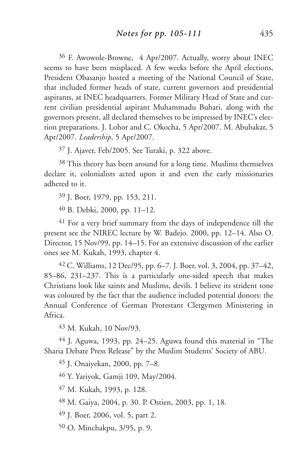36 F. Awowole-Browne, 4 Apr/2007. Actually, worry about INEC seems to have been misplaced. A few weeks before the April elections, President Obasanjo hosted a meeting of the National Council of State, that included former heads of state, current governors and presidential aspirants, at INEC headquarters. Former Military Head of State and current civilian presidential aspirant Muhammadu Buhari, along with the governors present, all declared themselves to be impressed by INEC's election preparations. J. Lohor and C. Okocha, 5 Apr/2007. M. Abubakar, 5 Apr/2007. *Leadership*, 5 Apr/2007.

37 J. Ajaver, Feb/2005. See Turaki, p. 322 above.

38 This theory has been around for a long time. Muslims themselves declare it, colonialists acted upon it and even the early missionaries adhered to it.

39 J. Boer, 1979, pp. 153, 211.

40 B. Debki, 2000, pp. 11–12.

41 For a very brief summary from the days of independence till the present see the NIREC lecture by W. Badejo. 2000, pp. 12–14. Also O. Director, 15 Nov/99, pp. 14–15. For an extensive discussion of the earlier ones see M. Kukah, 1993, chapter 4.

42 C. Williams, 12 Dec/95, pp. 6–7. J. Boer, vol. 3, 2004, pp. 37–42, 85–86, 231–237. This is a particularly one-sided speech that makes Christians look like saints and Muslims, devils. I believe its strident tone was coloured by the fact that the audience included potential donors: the Annual Conference of German Protestant Clergymen Ministering in Africa.

43 M. Kukah, 10 Nov/93.

44 J. Aguwa, 1993, pp. 24–25. Aguwa found this material in "The Sharia Debate Press Release" by the Muslim Students' Society of ABU.

45 J. Onaiyekan, 2000, pp. 7–8.

46 Y. Yariyok, Gamji 109, May/2004.

47 M. Kukah, 1993, p. 128.

48 M. Gaiya, 2004, p. 30. P. Ostien, 2003, pp. 1, 18.

49 J. Boer, 2006, vol. 5, part 2.

50 O. Minchakpu, 3/95, p. 9.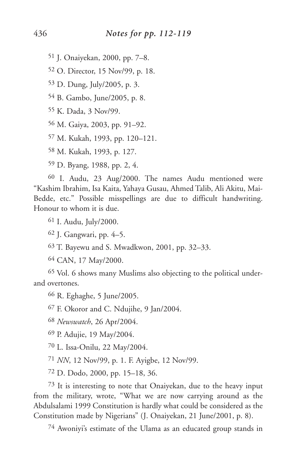J. Onaiyekan, 2000, pp. 7–8.

O. Director, 15 Nov/99, p. 18.

D. Dung, July/2005, p. 3.

B. Gambo, June/2005, p. 8.

K. Dada, 3 Nov/99.

M. Gaiya, 2003, pp. 91–92.

M. Kukah, 1993, pp. 120–121.

M. Kukah, 1993, p. 127.

D. Byang, 1988, pp. 2, 4.

 I. Audu, 23 Aug/2000. The names Audu mentioned were "Kashim Ibrahim, Isa Kaita, Yahaya Gusau, Ahmed Talib, Ali Akitu, Mai-Bedde, etc." Possible misspellings are due to difficult handwriting. Honour to whom it is due.

I. Audu, July/2000.

J. Gangwari, pp. 4–5.

T. Bayewu and S. Mwadkwon, 2001, pp. 32–33.

CAN, 17 May/2000.

 Vol. 6 shows many Muslims also objecting to the political underand overtones.

R. Eghaghe, 5 June/2005.

F. Okoror and C. Ndujihe, 9 Jan/2004.

*Newswatch*, 26 Apr/2004.

P. Adujie, 19 May/2004.

L. Issa-Onilu, 22 May/2004.

*NN*, 12 Nov/99, p. 1. F. Ayigbe, 12 Nov/99.

D. Dodo, 2000, pp. 15–18, 36.

 It is interesting to note that Onaiyekan, due to the heavy input from the military, wrote, "What we are now carrying around as the Abdulsalami 1999 Constitution is hardly what could be considered as the Constitution made by Nigerians" (J. Onaiyekan, 21 June/2001, p. 8).

Awoniyi's estimate of the Ulama as an educated group stands in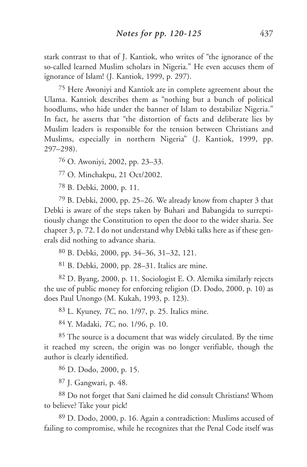stark contrast to that of J. Kantiok, who writes of "the ignorance of the so-called learned Muslim scholars in Nigeria." He even accuses them of ignorance of Islam! (J. Kantiok, 1999, p. 297).

75 Here Awoniyi and Kantiok are in complete agreement about the Ulama. Kantiok describes them as "nothing but a bunch of political hoodlums, who hide under the banner of Islam to destabilize Nigeria." In fact, he asserts that "the distortion of facts and deliberate lies by Muslim leaders is responsible for the tension between Christians and Muslims, especially in northern Nigeria" (J. Kantiok, 1999, pp. 297–298).

76 O. Awoniyi, 2002, pp. 23–33.

77 O. Minchakpu, 21 Oct/2002.

78 B. Debki, 2000, p. 11.

79 B. Debki, 2000, pp. 25–26. We already know from chapter 3 that Debki is aware of the steps taken by Buhari and Babangida to surreptitiously change the Constitution to open the door to the wider sharia. See chapter 3, p. 72. I do not understand why Debki talks here as if these generals did nothing to advance sharia.

80 B. Debki, 2000, pp. 34–36, 31–32, 121.

81 B. Debki, 2000, pp. 28–31. Italics are mine.

82 D. Byang, 2000, p. 11. Sociologist E. O. Alemika similarly rejects the use of public money for enforcing religion (D. Dodo, 2000, p. 10) as does Paul Unongo (M. Kukah, 1993, p. 123).

83 L. Kyuney, *TC*, no. 1/97, p. 25. Italics mine.

84 Y. Madaki, *TC*, no. 1/96, p. 10.

85 The source is a document that was widely circulated. By the time it reached my screen, the origin was no longer verifiable, though the author is clearly identified.

86 D. Dodo, 2000, p. 15.

87 J. Gangwari, p. 48.

88 Do not forget that Sani claimed he did consult Christians! Whom to believe? Take your pick!

89 D. Dodo, 2000, p. 16. Again a contradiction: Muslims accused of failing to compromise, while he recognizes that the Penal Code itself was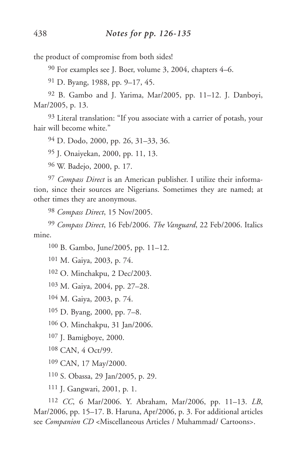the product of compromise from both sides!

For examples see J. Boer, volume 3, 2004, chapters 4–6.

D. Byang, 1988, pp. 9–17, 45.

 B. Gambo and J. Yarima, Mar/2005, pp. 11–12. J. Danboyi, Mar/2005, p. 13.

 Literal translation: "If you associate with a carrier of potash, your hair will become white."

D. Dodo, 2000, pp. 26, 31–33, 36.

J. Onaiyekan, 2000, pp. 11, 13.

W. Badejo, 2000, p. 17.

 *Compass Direct* is an American publisher. I utilize their information, since their sources are Nigerians. Sometimes they are named; at other times they are anonymous.

*Compass Direct*, 15 Nov/2005.

 *Compass Direct*, 16 Feb/2006. *The Vanguard*, 22 Feb/2006. Italics mine.

B. Gambo, June/2005, pp. 11–12.

M. Gaiya, 2003, p. 74.

O. Minchakpu, 2 Dec/2003.

M. Gaiya, 2004, pp. 27–28.

M. Gaiya, 2003, p. 74.

D. Byang, 2000, pp. 7–8.

O. Minchakpu, 31 Jan/2006.

J. Bamigboye, 2000.

CAN, 4 Oct/99.

CAN, 17 May/2000.

S. Obassa, 29 Jan/2005, p. 29.

J. Gangwari, 2001, p. 1.

 *CC*, 6 Mar/2006. Y. Abraham, Mar/2006, pp. 11–13. *LB*, Mar/2006, pp. 15–17. B. Haruna, Apr/2006, p. 3. For additional articles see *Companion CD* <Miscellaneous Articles / Muhammad/ Cartoons>.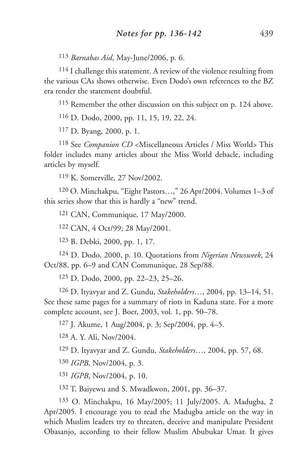*Barnabas Aid*, May-June/2006, p. 6.

 I challenge this statement. A review of the violence resulting from the various CAs shows otherwise. Even Dodo's own references to the BZ era render the statement doubtful.

Remember the other discussion on this subject on p. 124 above.

D. Dodo, 2000, pp. 11, 15, 19, 22, 24.

D. Byang, 2000, p. 1.

 See *Companion CD* <Miscellaneous Articles / Miss World> This folder includes many articles about the Miss World debacle, including articles by myself.

K. Somerville, 27 Nov/2002.

 O. Minchakpu, "Eight Pastors…," 26 Apr/2004. Volumes 1–3 of this series show that this is hardly a "new" trend.

CAN, Communique, 17 May/2000.

CAN, 4 Oct/99; 28 May/2001.

B. Debki, 2000, pp. 1, 17.

 D. Dodo, 2000, p. 10. Quotations from *Nigerian Newsweek*, 24 Oct/88, pp. 6–9 and CAN Communique, 28 Sep/88.

D. Dodo, 2000, pp. 22–23, 25–26.

 D. Ityavyar and Z. Gundu, *Stakeholders*…, 2004, pp. 13–14, 51. See these same pages for a summary of riots in Kaduna state. For a more complete account, see J. Boer, 2003, vol. 1, pp. 50–78.

J. Akume, 1 Aug/2004, p. 3; Sep/2004, pp. 4–5.

A. Y. Ali, Nov/2004.

D. Ityavyar and Z. Gundu, *Stakeholders*…, 2004, pp. 57, 68.

*IGPB*, Nov/2004, p. 3.

*IGPB*, Nov/2004, p. 10.

T. Baiyewu and S. Mwadkwon, 2001, pp. 36–37.

 O. Minchakpu, 16 May/2005; 11 July/2005. A. Madugba, 2 Apr/2005. I encourage you to read the Madugba article on the way in which Muslim leaders try to threaten, deceive and manipulate President Obasanjo, according to their fellow Muslim Abubukar Umar. It gives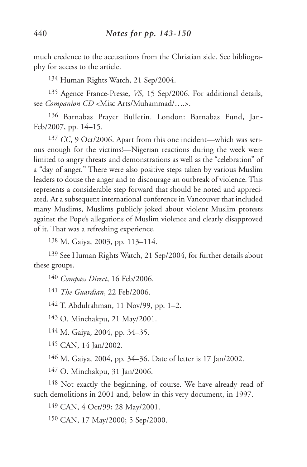much credence to the accusations from the Christian side. See bibliography for access to the article.

134 Human Rights Watch, 21 Sep/2004.

135 Agence France-Presse, *VS*, 15 Sep/2006. For additional details, see *Companion CD* <Misc Arts/Muhammad/….>.

136 Barnabas Prayer Bulletin. London: Barnabas Fund, Jan-Feb/2007, pp. 14–15.

137 *CC*, 9 Oct/2006. Apart from this one incident—which was serious enough for the victims!—Nigerian reactions during the week were limited to angry threats and demonstrations as well as the "celebration" of a "day of anger." There were also positive steps taken by various Muslim leaders to douse the anger and to discourage an outbreak of violence. This represents a considerable step forward that should be noted and appreciated. At a subsequent international conference in Vancouver that included many Muslims, Muslims publicly joked about violent Muslim protests against the Pope's allegations of Muslim violence and clearly disapproved of it. That was a refreshing experience.

138 M. Gaiya, 2003, pp. 113–114.

139 See Human Rights Watch, 21 Sep/2004, for further details about these groups.

140 *Compass Direct*, 16 Feb/2006.

141 *The Guardian*, 22 Feb/2006.

142 T. Abdulrahman, 11 Nov/99, pp. 1–2.

143 O. Minchakpu, 21 May/2001.

144 M. Gaiya, 2004, pp. 34–35.

145 CAN, 14 Jan/2002.

146 M. Gaiya, 2004, pp. 34–36. Date of letter is 17 Jan/2002.

147 O. Minchakpu, 31 Jan/2006.

148 Not exactly the beginning, of course. We have already read of such demolitions in 2001 and, below in this very document, in 1997.

149 CAN, 4 Oct/99; 28 May/2001.

150 CAN, 17 May/2000; 5 Sep/2000.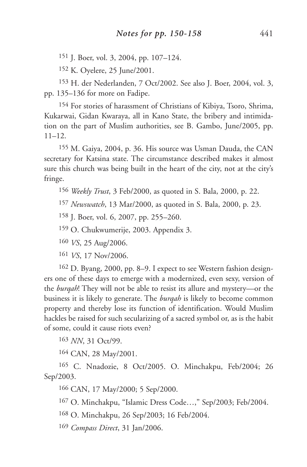151 J. Boer, vol. 3, 2004, pp. 107–124.

152 K. Oyelere, 25 June/2001.

153 H. der Nederlanden, 7 Oct/2002. See also J. Boer, 2004, vol. 3, pp. 135–136 for more on Fadipe.

154 For stories of harassment of Christians of Kibiya, Tsoro, Shrima, Kukarwai, Gidan Kwaraya, all in Kano State, the bribery and intimidation on the part of Muslim authorities, see B. Gambo, June/2005, pp. 11–12.

155 M. Gaiya, 2004, p. 36. His source was Usman Dauda, the CAN secretary for Katsina state. The circumstance described makes it almost sure this church was being built in the heart of the city, not at the city's fringe.

156 *Weekly Trust*, 3 Feb/2000, as quoted in S. Bala, 2000, p. 22.

157 *Newswatch*, 13 Mar/2000, as quoted in S. Bala, 2000, p. 23.

158 J. Boer, vol. 6, 2007, pp. 255–260.

159 O. Chukwumerije, 2003. Appendix 3.

160 *VS*, 25 Aug/2006.

161 *VS*, 17 Nov/2006.

162 D. Byang, 2000, pp. 8–9. I expect to see Western fashion designers one of these days to emerge with a modernized, even sexy, version of the *burqah*! They will not be able to resist its allure and mystery—or the business it is likely to generate. The *burqah* is likely to become common property and thereby lose its function of identification. Would Muslim hackles be raised for such secularizing of a sacred symbol or, as is the habit of some, could it cause riots even?

163 *NN*, 31 Oct/99.

164 CAN, 28 May/2001.

165 C. Nnadozie, 8 Oct/2005. O. Minchakpu, Feb/2004; 26 Sep/2003.

166 CAN, 17 May/2000; 5 Sep/2000.

167 O. Minchakpu, "Islamic Dress Code…," Sep/2003; Feb/2004.

168 O. Minchakpu, 26 Sep/2003; 16 Feb/2004.

169 *Compass Direct*, 31 Jan/2006.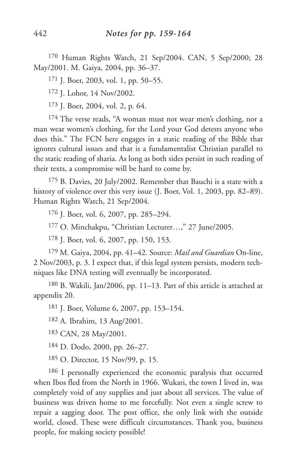170 Human Rights Watch, 21 Sep/2004. CAN, 5 Sep/2000; 28 May/2001. M. Gaiya, 2004, pp. 36–37.

171 J. Boer, 2003, vol. 1, pp. 50–55.

172 J. Lohor, 14 Nov/2002.

173 J. Boer, 2004, vol. 2, p. 64.

174 The verse reads, "A woman must not wear men's clothing, nor a man wear women's clothing, for the Lord your God detests anyone who does this." The FCN here engages in a static reading of the Bible that ignores cultural issues and that is a fundamentalist Christian parallel to the static reading of sharia. As long as both sides persist in such reading of their texts, a compromise will be hard to come by.

175 B. Davies, 20 July/2002. Remember that Bauchi is a state with a history of violence over this very issue (J. Boer, Vol. 1, 2003, pp. 82–89). Human Rights Watch, 21 Sep/2004.

176 J. Boer, vol. 6, 2007, pp. 285–294.

177 O. Minchakpu, "Christian Lecturer…," 27 June/2005.

178 J. Boer, vol. 6, 2007, pp. 150, 153.

179 M. Gaiya, 2004, pp. 41–42. Source: *Mail and Guardian* On-line, 2 Nov/2003, p. 3. I expect that, if this legal system persists, modern techniques like DNA testing will eventually be incorporated.

180 B. Wakili, Jan/2006, pp. 11–13. Part of this article is attached at appendix 20.

181 J. Boer, Volume 6, 2007, pp. 153–154.

182 A. Ibrahim, 13 Aug/2001.

183 CAN, 28 May/2001.

184 D. Dodo, 2000, pp. 26–27.

185 O. Director, 15 Nov/99, p. 15.

186 I personally experienced the economic paralysis that occurred when Ibos fled from the North in 1966. Wukari, the town I lived in, was completely void of any supplies and just about all services. The value of business was driven home to me forcefully. Not even a single screw to repair a sagging door. The post office, the only link with the outside world, closed. These were difficult circumstances. Thank you, business people, for making society possible!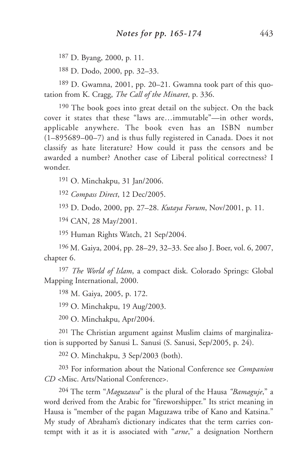187 D. Byang, 2000, p. 11.

188 D. Dodo, 2000, pp. 32–33.

189 D. Gwamna, 2001, pp. 20–21. Gwamna took part of this quotation from K. Cragg, *The Call of the Minaret*, p. 336.

<sup>190</sup> The book goes into great detail on the subject. On the back cover it states that these "laws are…immutable"—in other words, applicable anywhere. The book even has an ISBN number (1–895689–00–7) and is thus fully registered in Canada. Does it not classify as hate literature? How could it pass the censors and be awarded a number? Another case of Liberal political correctness? I wonder.

191 O. Minchakpu, 31 Jan/2006.

192 *Compass Direct*, 12 Dec/2005.

193 D. Dodo, 2000, pp. 27–28. *Kutaya Forum*, Nov/2001, p. 11.

194 CAN, 28 May/2001.

195 Human Rights Watch, 21 Sep/2004.

196 M. Gaiya, 2004, pp. 28–29, 32–33. See also J. Boer, vol. 6, 2007, chapter 6.

197 *The World of Islam*, a compact disk. Colorado Springs: Global Mapping International, 2000.

198 M. Gaiya, 2005, p. 172.

199 O. Minchakpu, 19 Aug/2003.

200 O. Minchakpu, Apr/2004.

201 The Christian argument against Muslim claims of marginalization is supported by Sanusi L. Sanusi (S. Sanusi, Sep/2005, p. 24).

202 O. Minchakpu, 3 Sep/2003 (both).

203 For information about the National Conference see *Companion CD* <Misc. Arts/National Conference>.

204 The term "*Maguzawa*" is the plural of the Hausa *"Bamaguje*," a word derived from the Arabic for "fireworshipper." Its strict meaning in Hausa is "member of the pagan Maguzawa tribe of Kano and Katsina." My study of Abraham's dictionary indicates that the term carries contempt with it as it is associated with "*arne*," a designation Northern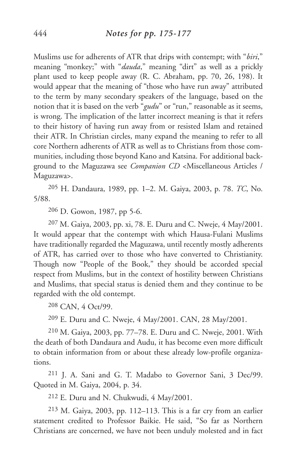Muslims use for adherents of ATR that drips with contempt; with "*biri*," meaning "monkey;" with "*dauda*," meaning "dirt" as well as a prickly plant used to keep people away (R. C. Abraham, pp. 70, 26, 198). It would appear that the meaning of "those who have run away" attributed to the term by many secondary speakers of the language, based on the notion that it is based on the verb "*gudu*" or "run," reasonable as it seems, is wrong. The implication of the latter incorrect meaning is that it refers to their history of having run away from or resisted Islam and retained their ATR. In Christian circles, many expand the meaning to refer to all core Northern adherents of ATR as well as to Christians from those communities, including those beyond Kano and Katsina. For additional background to the Maguzawa see *Companion CD* <Miscellaneous Articles / Maguzawa>.

205 H. Dandaura, 1989, pp. 1–2. M. Gaiya, 2003, p. 78. *TC*, No. 5/88.

206 D. Gowon, 1987, pp 5-6.

207 M. Gaiya, 2003, pp. xi, 78. E. Duru and C. Nweje, 4 May/2001. It would appear that the contempt with which Hausa-Fulani Muslims have traditionally regarded the Maguzawa, until recently mostly adherents of ATR, has carried over to those who have converted to Christianity. Though now "People of the Book," they should be accorded special respect from Muslims, but in the context of hostility between Christians and Muslims, that special status is denied them and they continue to be regarded with the old contempt.

208 CAN, 4 Oct/99.

209 E. Duru and C. Nweje, 4 May/2001. CAN, 28 May/2001.

210 M. Gaiya, 2003, pp. 77–78. E. Duru and C. Nweje, 2001. With the death of both Dandaura and Audu, it has become even more difficult to obtain information from or about these already low-profile organizations.

211 J. A. Sani and G. T. Madabo to Governor Sani, 3 Dec/99. Quoted in M. Gaiya, 2004, p. 34.

212 E. Duru and N. Chukwudi, 4 May/2001.

213 M. Gaiya, 2003, pp. 112–113. This is a far cry from an earlier statement credited to Professor Baikie. He said, "So far as Northern Christians are concerned, we have not been unduly molested and in fact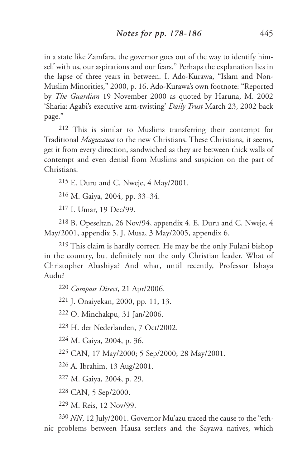in a state like Zamfara, the governor goes out of the way to identify himself with us, our aspirations and our fears." Perhaps the explanation lies in the lapse of three years in between. I. Ado-Kurawa, "Islam and Non-Muslim Minorities," 2000, p. 16. Ado-Kurawa's own footnote: "Reported by *The Guardian* 19 November 2000 as quoted by Haruna, M. 2002 'Sharia: Agabi's executive arm-twisting' *Daily Trust* March 23, 2002 back page."

212 This is similar to Muslims transferring their contempt for Traditional *Maguzawa* to the new Christians. These Christians, it seems, get it from every direction, sandwiched as they are between thick walls of contempt and even denial from Muslims and suspicion on the part of Christians.

215 E. Duru and C. Nweje, 4 May/2001.

216 M. Gaiya, 2004, pp. 33–34.

217 I. Umar, 19 Dec/99.

218 B. Opeseltan, 26 Nov/94, appendix 4. E. Duru and C. Nweje, 4 May/2001, appendix 5. J. Musa, 3 May/2005, appendix 6.

219 This claim is hardly correct. He may be the only Fulani bishop in the country, but definitely not the only Christian leader. What of Christopher Abashiya? And what, until recently, Professor Ishaya Audu?

220 *Compass Direct*, 21 Apr/2006.

221 J. Onaiyekan, 2000, pp. 11, 13.

222 O. Minchakpu, 31 Jan/2006.

223 H. der Nederlanden, 7 Oct/2002.

224 M. Gaiya, 2004, p. 36.

225 CAN, 17 May/2000; 5 Sep/2000; 28 May/2001.

226 A. Ibrahim, 13 Aug/2001.

227 M. Gaiya, 2004, p. 29.

228 CAN, 5 Sep/2000.

229 M. Reis, 12 Nov/99.

230 *NN*, 12 July/2001. Governor Mu'azu traced the cause to the "ethnic problems between Hausa settlers and the Sayawa natives, which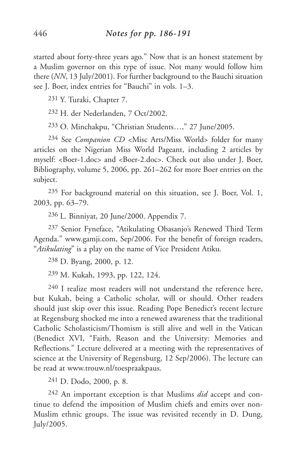started about forty-three years ago." Now that is an honest statement by a Muslim governor on this type of issue. Not many would follow him there (*NN*, 13 July/2001). For further background to the Bauchi situation see J. Boer, index entries for "Bauchi" in vols. 1–3.

231 Y. Turaki, Chapter 7.

232 H. der Nederlanden, 7 Oct/2002.

233 O. Minchakpu, "Christian Students…," 27 June/2005.

234 See *Companion CD* <Misc Arts/Miss World> folder for many articles on the Nigerian Miss World Pageant, including 2 articles by myself: <Boer-1.doc> and <Boer-2.doc>. Check out also under J. Boer, Bibliography, volume 5, 2006, pp. 261–262 for more Boer entries on the subject.

235 For background material on this situation, see J. Boer, Vol. 1, 2003, pp. 63–79.

236 L. Binniyat, 20 June/2000. Appendix 7.

237 Senior Fyneface, "Atikulating Obasanjo's Renewed Third Term Agenda." www.gamji.com, Sep/2006. For the benefit of foreign readers, "*Atikulating*" is a play on the name of Vice President Atiku.

238 D. Byang, 2000, p. 12.

239 M. Kukah, 1993, pp. 122, 124.

240 I realize most readers will not understand the reference here, but Kukah, being a Catholic scholar, will or should. Other readers should just skip over this issue. Reading Pope Benedict's recent lecture at Regensburg shocked me into a renewed awareness that the traditional Catholic Scholasticism/Thomism is still alive and well in the Vatican (Benedict XVI, "Faith, Reason and the University: Memories and Reflections." Lecture delivered at a meeting with the representatives of science at the University of Regensburg, 12 Sep/2006). The lecture can be read at www.trouw.nl/toespraakpaus.

241 D. Dodo, 2000, p. 8.

242 An important exception is that Muslims *did* accept and continue to defend the imposition of Muslim chiefs and emirs over non-Muslim ethnic groups. The issue was revisited recently in D. Dung, July/2005.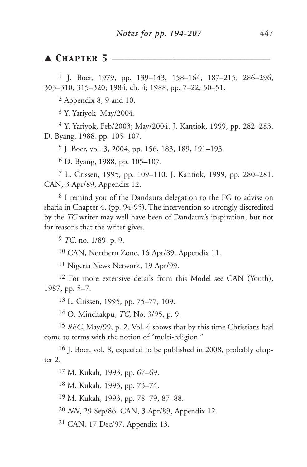## ▲ **CHAPTER 5**

 J. Boer, 1979, pp. 139–143, 158–164, 187–215, 286–296, 303–310, 315–320; 1984, ch. 4; 1988, pp. 7–22, 50–51.

Appendix 8, 9 and 10.

Y. Yariyok, May/2004.

 Y. Yariyok, Feb/2003; May/2004. J. Kantiok, 1999, pp. 282–283. D. Byang, 1988, pp. 105–107.

J. Boer, vol. 3, 2004, pp. 156, 183, 189, 191–193.

D. Byang, 1988, pp. 105–107.

 L. Grissen, 1995, pp. 109–110. J. Kantiok, 1999, pp. 280–281. CAN, 3 Apr/89, Appendix 12.

 I remind you of the Dandaura delegation to the FG to advise on sharia in Chapter 4, (pp. 94-95). The intervention so strongly discredited by the *TC* writer may well have been of Dandaura's inspiration, but not for reasons that the writer gives.

*TC*, no. 1/89, p. 9.

CAN, Northern Zone, 16 Apr/89. Appendix 11.

Nigeria News Network, 19 Apr/99.

<sup>12</sup> For more extensive details from this Model see CAN (Youth), 1987, pp. 5–7.

L. Grissen, 1995, pp. 75–77, 109.

O. Minchakpu, *TC*, No. 3/95, p. 9.

 *REC*, May/99, p. 2. Vol. 4 shows that by this time Christians had come to terms with the notion of "multi-religion."

 J. Boer, vol. 8, expected to be published in 2008, probably chapter 2.

M. Kukah, 1993, pp. 67–69.

M. Kukah, 1993, pp. 73–74.

M. Kukah, 1993, pp. 78–79, 87–88.

*NN*, 29 Sep/86. CAN, 3 Apr/89, Appendix 12.

CAN, 17 Dec/97. Appendix 13.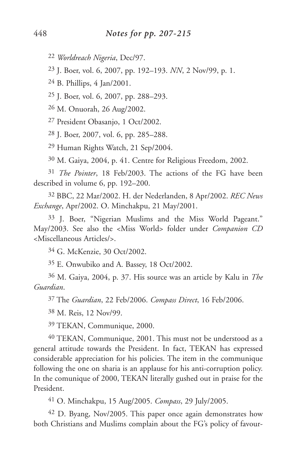*Worldreach Nigeria*, Dec/97.

J. Boer, vol. 6, 2007, pp. 192–193. *NN*, 2 Nov/99, p. 1.

B. Phillips, 4 Jan/2001.

J. Boer, vol. 6, 2007, pp. 288–293.

M. Onuorah, 26 Aug/2002.

President Obasanjo, 1 Oct/2002.

J. Boer, 2007, vol. 6, pp. 285–288.

Human Rights Watch, 21 Sep/2004.

M. Gaiya, 2004, p. 41. Centre for Religious Freedom, 2002.

 *The Pointer*, 18 Feb/2003. The actions of the FG have been described in volume 6, pp. 192–200.

 BBC, 22 Mar/2002. H. der Nederlanden, 8 Apr/2002. *REC News Exchange*, Apr/2002. O. Minchakpu, 21 May/2001.

 J. Boer, "Nigerian Muslims and the Miss World Pageant." May/2003. See also the <Miss World> folder under *Companion CD* <Miscellaneous Articles/>.

G. McKenzie, 30 Oct/2002.

E. Onwubiko and A. Bassey, 18 Oct/2002.

 M. Gaiya, 2004, p. 37. His source was an article by Kalu in *The Guardian*.

The *Guardian*, 22 Feb/2006. *Compass Direct*, 16 Feb/2006.

M. Reis, 12 Nov/99.

TEKAN, Communique, 2000.

 TEKAN, Communique, 2001. This must not be understood as a general attitude towards the President. In fact, TEKAN has expressed considerable appreciation for his policies. The item in the communique following the one on sharia is an applause for his anti-corruption policy. In the comunique of 2000, TEKAN literally gushed out in praise for the President.

O. Minchakpu, 15 Aug/2005. *Compass*, 29 July/2005.

 D. Byang, Nov/2005. This paper once again demonstrates how both Christians and Muslims complain about the FG's policy of favour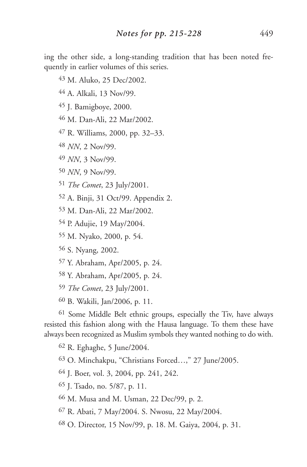ing the other side, a long-standing tradition that has been noted frequently in earlier volumes of this series.

- M. Aluko, 25 Dec/2002.
- A. Alkali, 13 Nov/99.
- J. Bamigboye, 2000.
- M. Dan-Ali, 22 Mar/2002.
- R. Williams, 2000, pp. 32–33.
- *NN*, 2 Nov/99.
- *NN*, 3 Nov/99.
- *NN*, 9 Nov/99.
- *The Comet*, 23 July/2001.
- A. Binji, 31 Oct/99. Appendix 2.
- M. Dan-Ali, 22 Mar/2002.
- P. Adujie, 19 May/2004.
- M. Nyako, 2000, p. 54.
- S. Nyang, 2002.
- Y. Abraham, Apr/2005, p. 24.
- Y. Abraham, Apr/2005, p. 24.
- *The Comet*, 23 July/2001.
- B. Wakili, Jan/2006, p. 11.

 Some Middle Belt ethnic groups, especially the Tiv, have always resisted this fashion along with the Hausa language. To them these have always been recognized as Muslim symbols they wanted nothing to do with.

R. Eghaghe, 5 June/2004.

O. Minchakpu, "Christians Forced…," 27 June/2005.

J. Boer, vol. 3, 2004, pp. 241, 242.

- J. Tsado, no. 5/87, p. 11.
- M. Musa and M. Usman, 22 Dec/99, p. 2.
- R. Abati, 7 May/2004. S. Nwosu, 22 May/2004.
- O. Director, 15 Nov/99, p. 18. M. Gaiya, 2004, p. 31.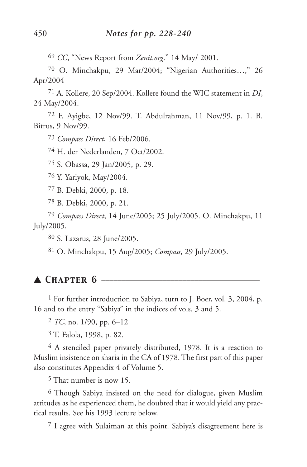*CC*, "News Report from *Zenit.org*." 14 May/ 2001.

 O. Minchakpu, 29 Mar/2004; "Nigerian Authorities…," 26 Apr/2004

 A. Kollere, 20 Sep/2004. Kollere found the WIC statement in *DI*, 24 May/2004.

 F. Ayigbe, 12 Nov/99. T. Abdulrahman, 11 Nov/99, p. 1. B. Bitrus, 9 Nov/99.

*Compass Direct*, 16 Feb/2006.

H. der Nederlanden, 7 Oct/2002.

S. Obassa, 29 Jan/2005, p. 29.

Y. Yariyok, May/2004.

B. Debki, 2000, p. 18.

B. Debki, 2000, p. 21.

 *Compass Direct*, 14 June/2005; 25 July/2005. O. Minchakpu, 11 July/2005.

S. Lazarus, 28 June/2005.

O. Minchakpu, 15 Aug/2005; *Compass*, 29 July/2005.

# ▲ *Chapter 6* \_\_\_\_\_\_\_\_\_\_\_\_\_\_\_\_\_\_\_\_\_\_\_\_\_\_\_\_\_\_\_\_\_\_\_\_\_\_\_

<sup>1</sup> For further introduction to Sabiya, turn to J. Boer, vol. 3, 2004, p. 16 and to the entry "Sabiya" in the indices of vols. 3 and 5.

*TC*, no. 1/90, pp. 6–12

T. Falola, 1998, p. 82.

 A stenciled paper privately distributed, 1978. It is a reaction to Muslim insistence on sharia in the CA of 1978. The first part of this paper also constitutes Appendix 4 of Volume 5.

That number is now 15.

 Though Sabiya insisted on the need for dialogue, given Muslim attitudes as he experienced them, he doubted that it would yield any practical results. See his 1993 lecture below.

I agree with Sulaiman at this point. Sabiya's disagreement here is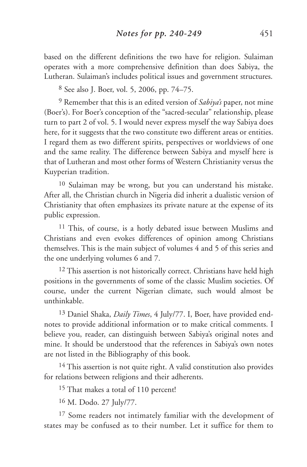based on the different definitions the two have for religion. Sulaiman operates with a more comprehensive definition than does Sabiya, the Lutheran. Sulaiman's includes political issues and government structures.

8 See also J. Boer, vol. 5, 2006, pp. 74–75.

9 Remember that this is an edited version of *Sabiya's* paper, not mine (Boer's). For Boer's conception of the "sacred-secular" relationship, please turn to part 2 of vol. 5. I would never express myself the way Sabiya does here, for it suggests that the two constitute two different areas or entities. I regard them as two different spirits, perspectives or worldviews of one and the same reality. The difference between Sabiya and myself here is that of Lutheran and most other forms of Western Christianity versus the Kuyperian tradition.

10 Sulaiman may be wrong, but you can understand his mistake. After all, the Christian church in Nigeria did inherit a dualistic version of Christianity that often emphasizes its private nature at the expense of its public expression.

<sup>11</sup> This, of course, is a hotly debated issue between Muslims and Christians and even evokes differences of opinion among Christians themselves. This is the main subject of volumes 4 and 5 of this series and the one underlying volumes 6 and 7.

<sup>12</sup> This assertion is not historically correct. Christians have held high positions in the governments of some of the classic Muslim societies. Of course, under the current Nigerian climate, such would almost be unthinkable.

13 Daniel Shaka, *Daily Times*, 4 July/77. I, Boer, have provided endnotes to provide additional information or to make critical comments. I believe you, reader, can distinguish between Sabiya's original notes and mine. It should be understood that the references in Sabiya's own notes are not listed in the Bibliography of this book.

<sup>14</sup> This assertion is not quite right. A valid constitution also provides for relations between religions and their adherents.

<sup>15</sup> That makes a total of 110 percent!

16 M. Dodo. 27 July/77.

<sup>17</sup> Some readers not intimately familiar with the development of states may be confused as to their number. Let it suffice for them to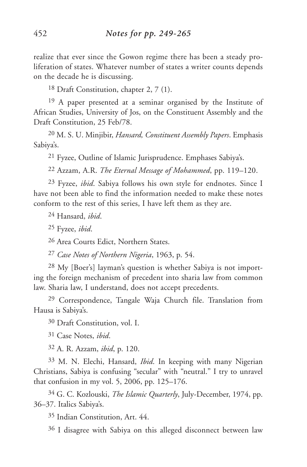realize that ever since the Gowon regime there has been a steady proliferation of states. Whatever number of states a writer counts depends on the decade he is discussing.

18 Draft Constitution, chapter 2, 7 (1).

19 A paper presented at a seminar organised by the Institute of African Studies, University of Jos, on the Constituent Assembly and the Draft Constitution, 25 Feb/78.

20 M. S. U. Minjibir, *Hansard, Constituent Assembly Papers*. Emphasis Sabiya's.

21 Fyzee, Outline of Islamic Jurisprudence. Emphases Sabiya's.

22 Azzam, A.R. *The Eternal Message of Mohammed*, pp. 119–120.

23 Fyzee, *ibid*. Sabiya follows his own style for endnotes. Since I have not been able to find the information needed to make these notes conform to the rest of this series, I have left them as they are.

24 Hansard, *ibid*.

25 Fyzee, *ibid*.

26 Area Courts Edict, Northern States.

27 *Case Notes of Northern Nigeria*, 1963, p. 54.

28 My [Boer's] layman's question is whether Sabiya is not importing the foreign mechanism of precedent into sharia law from common law. Sharia law, I understand, does not accept precedents.

29 Correspondence, Tangale Waja Church file. Translation from Hausa is Sabiya's.

30 Draft Constitution, vol. I.

31 Case Notes, *ibid*.

32 A. R. Azzam, *ibid*, p. 120.

33 M. N. Elechi, Hansard, *Ibid*. In keeping with many Nigerian Christians, Sabiya is confusing "secular" with "neutral." I try to unravel that confusion in my vol. 5, 2006, pp. 125–176.

34 G. C. Kozlouski, *The Islamic Quarterly*, July-December, 1974, pp. 36–37. Italics Sabiya's.

35 Indian Constitution, Art. 44.

36 I disagree with Sabiya on this alleged disconnect between law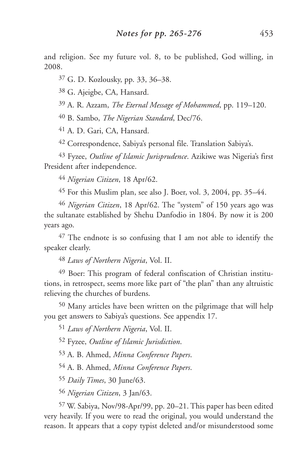and religion. See my future vol. 8, to be published, God willing, in 2008.

G. D. Kozlousky, pp. 33, 36–38.

G. Ajeigbe, CA, Hansard.

A. R. Azzam, *The Eternal Message of Mohammed*, pp. 119–120.

B. Sambo, *The Nigerian Standard*, Dec/76.

A. D. Gari, CA, Hansard.

Correspondence, Sabiya's personal file. Translation Sabiya's.

 Fyzee, *Outline of Islamic Jurisprudence*. Azikiwe was Nigeria's first President after independence.

*Nigerian Citizen*, 18 Apr/62.

For this Muslim plan, see also J. Boer, vol. 3, 2004, pp. 35–44.

 *Nigerian Citizen*, 18 Apr/62. The "system" of 150 years ago was the sultanate established by Shehu Danfodio in 1804. By now it is 200 years ago.

 The endnote is so confusing that I am not able to identify the speaker clearly.

*Laws of Northern Nigeria*, Vol. II.

 Boer: This program of federal confiscation of Christian institutions, in retrospect, seems more like part of "the plan" than any altruistic relieving the churches of burdens.

 Many articles have been written on the pilgrimage that will help you get answers to Sabiya's questions. See appendix 17.

*Laws of Northern Nigeria*, Vol. II.

Fyzee, *Outline of Islamic Jurisdiction*.

A. B. Ahmed, *Minna Conference Papers*.

A. B. Ahmed, *Minna Conference Papers*.

*Daily Times*, 30 June/63.

*Nigerian Citizen*, 3 Jan/63.

 W. Sabiya, Nov/98-Apr/99, pp. 20–21. This paper has been edited very heavily. If you were to read the original, you would understand the reason. It appears that a copy typist deleted and/or misunderstood some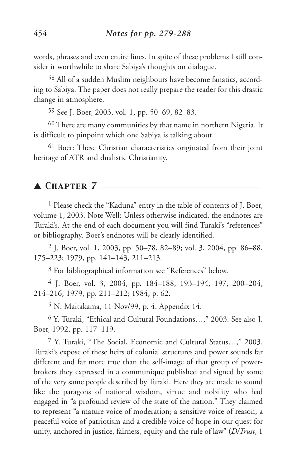words, phrases and even entire lines. In spite of these problems I still consider it worthwhile to share Sabiya's thoughts on dialogue.

58 All of a sudden Muslim neighbours have become fanatics, according to Sabiya. The paper does not really prepare the reader for this drastic change in atmosphere.

59 See J. Boer, 2003, vol. 1, pp. 50–69, 82–83.

60 There are many communities by that name in northern Nigeria. It is difficult to pinpoint which one Sabiya is talking about.

61 Boer: These Christian characteristics originated from their joint heritage of ATR and dualistic Christianity.

## ▲ *Chapter 7* \_\_\_\_\_\_\_\_\_\_\_\_\_\_\_\_\_\_\_\_\_\_\_\_\_\_\_\_\_\_\_\_\_\_\_\_\_\_\_

1 Please check the "Kaduna" entry in the table of contents of J. Boer, volume 1, 2003. Note Well: Unless otherwise indicated, the endnotes are Turaki's. At the end of each document you will find Turaki's "references" or bibliography. Boer's endnotes will be clearly identified.

2 J. Boer, vol. 1, 2003, pp. 50–78, 82–89; vol. 3, 2004, pp. 86–88, 175–223; 1979, pp. 141–143, 211–213.

3 For bibliographical information see "References" below.

4 J. Boer, vol. 3, 2004, pp. 184–188, 193–194, 197, 200–204, 214–216; 1979, pp. 211–212; 1984, p. 62.

5 N. Maitakama, 11 Nov/99, p. 4. Appendix 14.

6 Y. Turaki, "Ethical and Cultural Foundations…," 2003. See also J. Boer, 1992, pp. 117–119.

7 Y. Turaki, "The Social, Economic and Cultural Status…," 2003. Turaki's expose of these heirs of colonial structures and power sounds far different and far more true than the self-image of that group of powerbrokers they expressed in a communique published and signed by some of the very same people described by Turaki. Here they are made to sound like the paragons of national wisdom, virtue and nobility who had engaged in "a profound review of the state of the nation." They claimed to represent "a mature voice of moderation; a sensitive voice of reason; a peaceful voice of patriotism and a credible voice of hope in our quest for unity, anchored in justice, fairness, equity and the rule of law" (*D/Trust*, 1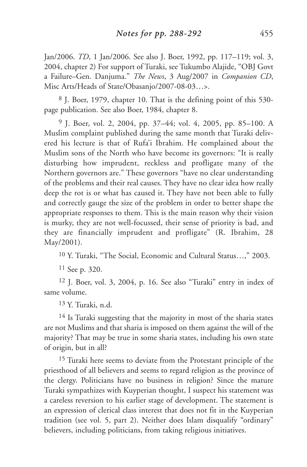Jan/2006. *TD*, 1 Jan/2006. See also J. Boer, 1992, pp. 117–119; vol. 3, 2004, chapter 2) For support of Turaki, see Tukumbo Alajide, "OBJ Govt a Failure–Gen. Danjuma." *The News*, 3 Aug/2007 in *Companion CD*, Misc Arts/Heads of State/Obasanjo/2007-08-03…>.

8 J. Boer, 1979, chapter 10. That is the defining point of this 530 page publication. See also Boer, 1984, chapter 8.

9 J. Boer, vol. 2, 2004, pp. 37–44; vol. 4, 2005, pp. 85–100. A Muslim complaint published during the same month that Turaki delivered his lecture is that of Rufa'i Ibrahim. He complained about the Muslim sons of the North who have become its governors: "It is really disturbing how imprudent, reckless and profligate many of the Northern governors are." These governors "have no clear understanding of the problems and their real causes. They have no clear idea how really deep the rot is or what has caused it. They have not been able to fully and correctly gauge the size of the problem in order to better shape the appropriate responses to them. This is the main reason why their vision is murky, they are not well-focussed, their sense of priority is bad, and they are financially imprudent and profligate" (R. Ibrahim, 28 May/2001).

10 Y. Turaki, "The Social, Economic and Cultural Status…," 2003.

11 See p. 320.

12 J. Boer, vol. 3, 2004, p. 16. See also "Turaki" entry in index of same volume.

13 Y. Turaki, n.d.

<sup>14</sup> Is Turaki suggesting that the majority in most of the sharia states are not Muslims and that sharia is imposed on them against the will of the majority? That may be true in some sharia states, including his own state of origin, but in all?

15 Turaki here seems to deviate from the Protestant principle of the priesthood of all believers and seems to regard religion as the province of the clergy. Politicians have no business in religion? Since the mature Turaki sympathizes with Kuyperian thought, I suspect his statement was a careless reversion to his earlier stage of development. The statement is an expression of clerical class interest that does not fit in the Kuyperian tradition (see vol. 5, part 2). Neither does Islam disqualify "ordinary" believers, including politicians, from taking religious initiatives.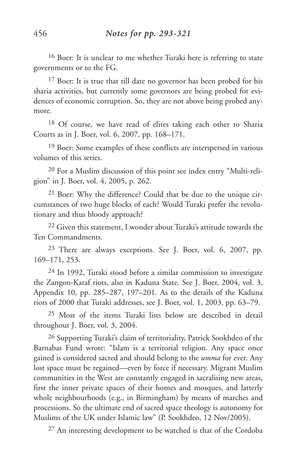16 Boer: It is unclear to me whether Turaki here is referring to state governments or to the FG.

<sup>17</sup> Boer: It is true that till date no governor has been probed for his sharia activities, but currently some governors are being probed for evidences of economic corruption. So, they are not above being probed anymore.

18 Of course, we have read of elites taking each other to Sharia Courts as in J. Boer, vol. 6, 2007, pp. 168–171.

19 Boer: Some examples of these conflicts are interspersed in various volumes of this series.

20 For a Muslim discussion of this point see index entry "Multi-religion" in J. Boer, vol. 4, 2005, p. 262.

21 Boer: Why the difference? Could that be due to the unique circumstances of two huge blocks of each? Would Turaki prefer the revolutionary and thus bloody approach?

<sup>22</sup> Given this statement, I wonder about Turaki's attitude towards the Ten Commandments.

23 There are always exceptions. See J. Boer, vol. 6, 2007, pp. 169–171, 253.

24 In 1992, Turaki stood before a similar commission to investigate the Zangon-Kataf riots, also in Kaduna State. See J. Boer, 2004, vol. 3, Appendix 10, pp. 285–287, 197–201. As to the details of the Kaduna riots of 2000 that Turaki addresses, see J. Boer, vol. 1, 2003, pp. 63–79.

25 Most of the items Turaki lists below are described in detail throughout J. Boer, vol. 3, 2004.

26 Supporting Turaki's claim of territoriality, Patrick Sookhdeo of the Barnabas Fund wrote: "Islam is a territorial religion. Any space once gained is considered sacred and should belong to the *umma* for ever. Any lost space must be regained—even by force if necessary. Migrant Muslim communities in the West are constantly engaged in sacralising new areas, first the inner private spaces of their homes and mosques, and latterly whole neighbourhoods (e.g., in Birmingham) by means of marches and processions. So the ultimate end of sacred space theology is autonomy for Muslims of the UK under Islamic law" (P. Sookhdeo, 12 Nov/2005).

27 An interesting development to be watched is that of the Cordoba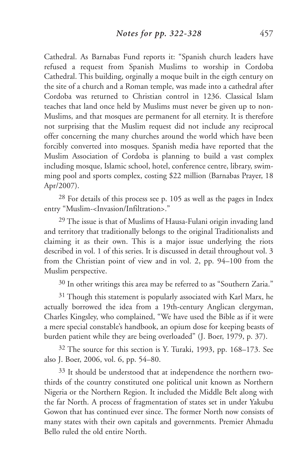Cathedral. As Barnabas Fund reports it: "Spanish church leaders have refused a request from Spanish Muslims to worship in Cordoba Cathedral. This building, orginally a moque built in the eigth century on the site of a church and a Roman temple, was made into a cathedral after Cordoba was returned to Christian control in 1236. Classical Islam teaches that land once held by Muslims must never be given up to non-Muslims, and that mosques are permanent for all eternity. It is therefore not surprising that the Muslim request did not include any reciprocal offer concerning the many churches around the world which have been forcibly converted into mosques. Spanish media have reported that the Muslim Association of Cordoba is planning to build a vast complex including mosque, Islamic school, hotel, conference centre, library, swimming pool and sports complex, costing \$22 million (Barnabas Prayer, 18 Apr/2007).

28 For details of this process see p. 105 as well as the pages in Index entry "Muslim-<Invasion/Infiltration>."

<sup>29</sup> The issue is that of Muslims of Hausa-Fulani origin invading land and territory that traditionally belongs to the original Traditionalists and claiming it as their own. This is a major issue underlying the riots described in vol. 1 of this series. It is discussed in detail throughout vol. 3 from the Christian point of view and in vol. 2, pp. 94–100 from the Muslim perspective.

<sup>30</sup> In other writings this area may be referred to as "Southern Zaria."

<sup>31</sup> Though this statement is popularly associated with Karl Marx, he actually borrowed the idea from a 19th-century Anglican clergyman, Charles Kingsley, who complained, "We have used the Bible as if it were a mere special constable's handbook, an opium dose for keeping beasts of burden patient while they are being overloaded" (J. Boer, 1979, p. 37).

32 The source for this section is Y. Turaki, 1993, pp. 168–173. See also J. Boer, 2006, vol. 6, pp. 54–80.

33 It should be understood that at independence the northern twothirds of the country constituted one political unit known as Northern Nigeria or the Northern Region. It included the Middle Belt along with the far North. A process of fragmentation of states set in under Yakubu Gowon that has continued ever since. The former North now consists of many states with their own capitals and governments. Premier Ahmadu Bello ruled the old entire North.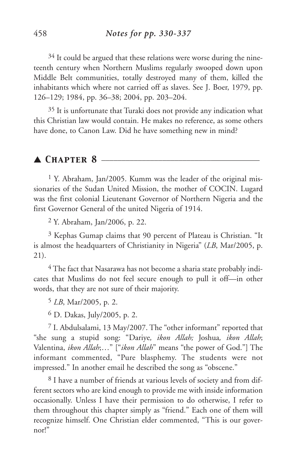$34$  It could be argued that these relations were worse during the nineteenth century when Northern Muslims regularly swooped down upon Middle Belt communities, totally destroyed many of them, killed the inhabitants which where not carried off as slaves. See J. Boer, 1979, pp. 126–129; 1984, pp. 36–38; 2004, pp. 203–204.

35 It is unfortunate that Turaki does not provide any indication what this Christian law would contain. He makes no reference, as some others have done, to Canon Law. Did he have something new in mind?

#### ▲ *Chapter 8* \_\_\_\_\_\_\_\_\_\_\_\_\_\_\_\_\_\_\_\_\_\_\_\_\_\_\_\_\_\_\_\_\_\_\_\_\_\_\_

1 Y. Abraham, Jan/2005. Kumm was the leader of the original missionaries of the Sudan United Mission, the mother of COCIN. Lugard was the first colonial Lieutenant Governor of Northern Nigeria and the first Governor General of the united Nigeria of 1914.

2 Y. Abraham, Jan/2006, p. 22.

3 Kephas Gumap claims that 90 percent of Plateau is Christian. "It is almost the headquarters of Christianity in Nigeria" (*LB*, Mar/2005, p. 21).

4 The fact that Nasarawa has not become a sharia state probably indicates that Muslims do not feel secure enough to pull it off—in other words, that they are not sure of their majority.

5 *LB*, Mar/2005, p. 2.

6 D. Dakas, July/2005, p. 2.

7 I. Abdulsalami, 13 May/2007. The "other informant" reported that "she sung a stupid song: "Dariye*, ikon Allah;* Joshua*, ikon Allah*; Valentina, *ikon Allah*;…" ["*ikon Allah*" means "the power of God."] The informant commented, "Pure blasphemy. The students were not impressed." In another email he described the song as "obscene."

8 I have a number of friends at various levels of society and from different sectors who are kind enough to provide me with inside information occasionally. Unless I have their permission to do otherwise, I refer to them throughout this chapter simply as "friend." Each one of them will recognize himself. One Christian elder commented, "This is our governor!"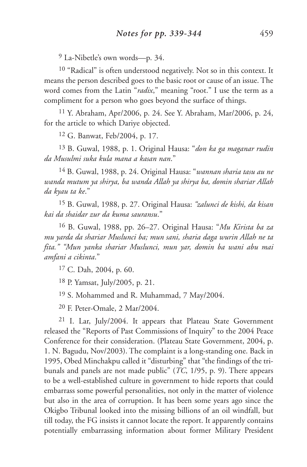9 La-Nibetle's own words—p. 34.

10 "Radical" is often understood negatively. Not so in this context. It means the person described goes to the basic root or cause of an issue. The word comes from the Latin "*radix*," meaning "root." I use the term as a compliment for a person who goes beyond the surface of things.

11 Y. Abraham, Apr/2006, p. 24. See Y. Abraham, Mar/2006, p. 24, for the article to which Dariye objected.

12 G. Banwat, Feb/2004, p. 17.

13 B. Guwal, 1988, p. 1. Original Hausa: "*don ka ga maganar rudin da Musulmi suka kula mana a kasan nan*."

14 B. Guwal, 1988, p. 24. Original Hausa: "*wannan sharia tasu au ne wanda mutum ya shirya, ba wanda Allah ya shirya ba, domin shariar Allah da kyau ta ke*."

15 B. Guwal, 1988, p. 27. Original Hausa: *"zalunci de kishi, da kisan kai da shaidar zur da kuma sauransu*."

16 B. Guwal, 1988, pp. 26–27. Original Hausa: "*Mu Kirista ba za mu yarda da shariar Muslunci ba; mun sani, sharia daga wurin Allah ne ta fita." "Mun yanka shariar Muslunci, mun yar, domin ba wani abu mai amfani a cikinta*."

17 C. Dah, 2004, p. 60.

18 P. Yamsat, July/2005, p. 21.

19 S. Mohammed and R. Muhammad, 7 May/2004.

20 F. Peter-Omale, 2 Mar/2004.

21 I. Lar, July/2004. It appears that Plateau State Government released the "Reports of Past Commissions of Inquiry" to the 2004 Peace Conference for their consideration. (Plateau State Government, 2004, p. 1. N. Bagudu, Nov/2003). The complaint is a long-standing one. Back in 1995, Obed Minchakpu called it "disturbing" that "the findings of the tribunals and panels are not made public" (*TC*, 1/95, p. 9). There appears to be a well-established culture in government to hide reports that could embarrass some powerful personalities, not only in the matter of violence but also in the area of corruption. It has been some years ago since the Okigbo Tribunal looked into the missing billions of an oil windfall, but till today, the FG insists it cannot locate the report. It apparently contains potentially embarrassing information about former Military President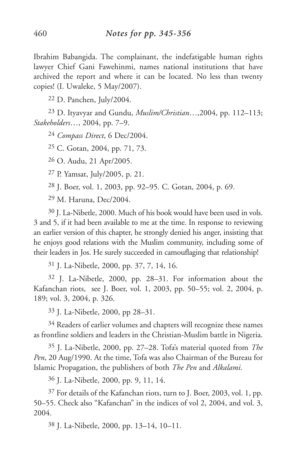Ibrahim Babangida. The complainant, the indefatigable human rights lawyer Chief Gani Fawehinmi, names national institutions that have archived the report and where it can be located. No less than twenty copies! (I. Uwaleke, 5 May/2007).

22 D. Panchen, July/2004.

23 D. Ityavyar and Gundu, *Muslim/Christian*…,2004, pp. 112–113; *Stakeholders*…, 2004, pp. 7–9.

24 *Compass Direct*, 6 Dec/2004.

25 C. Gotan, 2004, pp. 71, 73.

26 O. Audu, 21 Apr/2005.

27 P. Yamsat, July/2005, p. 21.

28 J. Boer, vol. 1, 2003, pp. 92–95. C. Gotan, 2004, p. 69.

29 M. Haruna, Dec/2004.

30 J. La-Nibetle, 2000. Much of his book would have been used in vols. 3 and 5, if it had been available to me at the time. In response to reviewing an earlier version of this chapter, he strongly denied his anger, insisting that he enjoys good relations with the Muslim community, including some of their leaders in Jos. He surely succeeded in camouflaging that relationship!

31 J. La-Nibetle, 2000, pp. 37, 7, 14, 16.

32 J. La-Nibetle, 2000, pp. 28–31. For information about the Kafanchan riots, see J. Boer, vol. 1, 2003, pp. 50–55; vol. 2, 2004, p. 189; vol. 3, 2004, p. 326.

33 J. La-Nibetle, 2000, pp 28–31.

<sup>34</sup> Readers of earlier volumes and chapters will recognize these names as frontline soldiers and leaders in the Christian-Muslim battle in Nigeria.

35 J. La-Nibetle, 2000, pp. 27–28. Tofa's material quoted from *The Pen*, 20 Aug/1990. At the time, Tofa was also Chairman of the Bureau for Islamic Propagation, the publishers of both *The Pen* and *Alkalami*.

36 J. La-Nibetle, 2000, pp. 9, 11, 14.

37 For details of the Kafanchan riots, turn to J. Boer, 2003, vol. 1, pp. 50–55. Check also "Kafanchan" in the indices of vol 2, 2004, and vol. 3, 2004.

38 J. La-Nibetle, 2000, pp. 13–14, 10–11.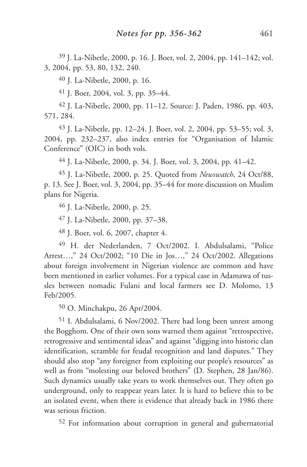39 J. La-Nibetle, 2000, p. 16. J. Boer, vol. 2, 2004, pp. 141–142; vol. 3, 2004, pp. 53, 80, 132, 240.

40 J. La-Nibetle, 2000, p. 16.

41 J. Boer, 2004, vol. 3, pp. 35–44.

42 J. La-Nibetle, 2000, pp. 11–12. Source: J. Paden, 1986, pp. 403, 571, 284.

43 J. La-Nibetle, pp. 12–24. J. Boer, vol. 2, 2004, pp. 53–55; vol. 3, 2004, pp. 232–237, also index entries for "Organisation of Islamic Conference" (OIC) in both vols.

44 J. La-Nibetle, 2000, p. 34. J. Boer, vol. 3, 2004, pp. 41–42.

45 J. La-Nibetle, 2000, p. 25. Quoted from *Newswatch*, 24 Oct/88, p. 13. See J. Boer, vol. 3, 2004, pp. 35–44 for more discussion on Muslim plans for Nigeria.

46 J. La-Nibetle, 2000, p. 25.

47 J. La-Nibetle, 2000, pp. 37–38.

48 J. Boer, vol. 6, 2007, chapter 4.

49 H. der Nederlanden, 7 Oct/2002. I. Abdulsalami, "Police Arrest…," 24 Oct/2002; "10 Die in Jos…," 24 Oct/2002. Allegations about foreign involvement in Nigerian violence are common and have been mentioned in earlier volumes. For a typical case in Adamawa of tussles between nomadic Fulani and local farmers see D. Molomo, 13 Feb/2005.

50 O. Minchakpu, 26 Apr/2004.

51 I. Abdulsalami, 6 Nov/2002. There had long been unrest among the Bogghom. One of their own sons warned them against "retrospective, retrogressive and sentimental ideas" and against "digging into historic clan identification, scramble for feudal recognition and land disputes." They should also stop "any foreigner from exploiting our people's resources" as well as from "molesting our beloved brothers" (D. Stephen, 28 Jan/86). Such dynamics usually take years to work themselves out. They often go underground, only to reappear years later. It is hard to believe this to be an isolated event, when there is evidence that already back in 1986 there was serious friction.

52 For information about corruption in general and gubernatorial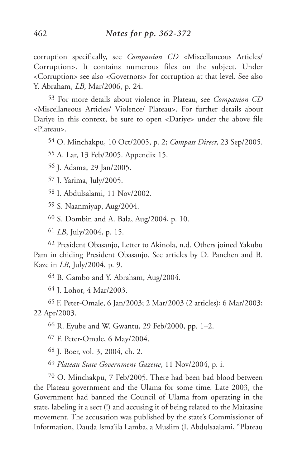corruption specifically, see *Companion CD* <Miscellaneous Articles/ Corruption>. It contains numerous files on the subject. Under <Corruption> see also <Governors> for corruption at that level. See also Y. Abraham, *LB*, Mar/2006, p. 24.

53 For more details about violence in Plateau, see *Companion CD* <Miscellaneous Articles/ Violence/ Plateau>. For further details about Dariye in this context, be sure to open <Dariye> under the above file <Plateau>.

54 O. Minchakpu, 10 Oct/2005, p. 2; *Compass Direct*, 23 Sep/2005.

55 A. Lar, 13 Feb/2005. Appendix 15.

56 J. Adama, 29 Jan/2005.

57 J. Yarima, July/2005.

58 I. Abdulsalami, 11 Nov/2002.

59 S. Naanmiyap, Aug/2004.

60 S. Dombin and A. Bala, Aug/2004, p. 10.

61 *LB*, July/2004, p. 15.

62 President Obasanjo, Letter to Akinola, n.d. Others joined Yakubu Pam in chiding President Obasanjo. See articles by D. Panchen and B. Kaze in *LB*, July/2004, p. 9.

63 B. Gambo and Y. Abraham, Aug/2004.

64 J. Lohor, 4 Mar/2003.

65 F. Peter-Omale, 6 Jan/2003; 2 Mar/2003 (2 articles); 6 Mar/2003; 22 Apr/2003.

66 R. Eyube and W. Gwantu, 29 Feb/2000, pp. 1–2.

67 F. Peter-Omale, 6 May/2004.

68 J. Boer, vol. 3, 2004, ch. 2.

69 *Plateau State Government Gazette*, 11 Nov/2004, p. i.

70 O. Minchakpu, 7 Feb/2005. There had been bad blood between the Plateau government and the Ulama for some time. Late 2003, the Government had banned the Council of Ulama from operating in the state, labeling it a sect (!) and accusing it of being related to the Maitasine movement. The accusation was published by the state's Commissioner of Information, Dauda Isma'ila Lamba, a Muslim (I. Abdulsaalami, "Plateau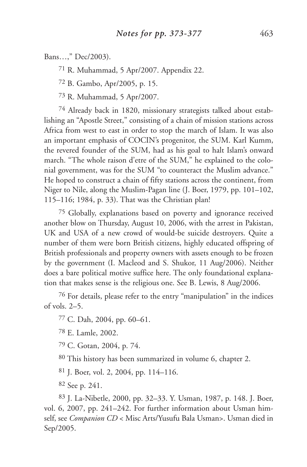Bans…," Dec/2003).

71 R. Muhammad, 5 Apr/2007. Appendix 22.

72 B. Gambo, Apr/2005, p. 15.

73 R. Muhammad, 5 Apr/2007.

74 Already back in 1820, missionary strategists talked about establishing an "Apostle Street," consisting of a chain of mission stations across Africa from west to east in order to stop the march of Islam. It was also an important emphasis of COCIN's progenitor, the SUM. Karl Kumm, the revered founder of the SUM, had as his goal to halt Islam's onward march. "The whole raison d'etre of the SUM," he explained to the colonial government, was for the SUM "to counteract the Muslim advance." He hoped to construct a chain of fifty stations across the continent, from Niger to Nile, along the Muslim-Pagan line (J. Boer, 1979, pp. 101–102, 115–116; 1984, p. 33). That was the Christian plan!

75 Globally, explanations based on poverty and ignorance received another blow on Thursday, August 10, 2006, with the arrest in Pakistan, UK and USA of a new crowd of would-be suicide destroyers. Quite a number of them were born British citizens, highly educated offspring of British professionals and property owners with assets enough to be frozen by the government (I. Macleod and S. Shukor, 11 Aug/2006). Neither does a bare political motive suffice here. The only foundational explanation that makes sense is the religious one. See B. Lewis, 8 Aug/2006.

76 For details, please refer to the entry "manipulation" in the indices of vols. 2–5.

77 C. Dah, 2004, pp. 60–61.

78 E. Lamle, 2002.

79 C. Gotan, 2004, p. 74.

80 This history has been summarized in volume 6, chapter 2.

81 J. Boer, vol. 2, 2004, pp. 114–116.

82 See p. 241.

83 J. La-Nibetle, 2000, pp. 32–33. Y. Usman, 1987, p. 148. J. Boer, vol. 6, 2007, pp. 241–242. For further information about Usman himself, see *Companion CD* < Misc Arts/Yusufu Bala Usman>. Usman died in Sep/2005.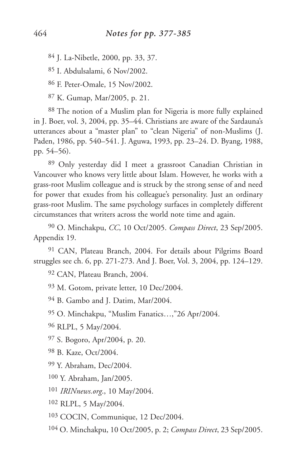J. La-Nibetle, 2000, pp. 33, 37.

I. Abdulsalami, 6 Nov/2002.

F. Peter-Omale, 15 Nov/2002.

K. Gumap, Mar/2005, p. 21.

 The notion of a Muslim plan for Nigeria is more fully explained in J. Boer, vol. 3, 2004, pp. 35–44. Christians are aware of the Sardauna's utterances about a "master plan" to "clean Nigeria" of non-Muslims (J. Paden, 1986, pp. 540–541. J. Aguwa, 1993, pp. 23–24. D. Byang, 1988, pp. 54–56).

 Only yesterday did I meet a grassroot Canadian Christian in Vancouver who knows very little about Islam. However, he works with a grass-root Muslim colleague and is struck by the strong sense of and need for power that exudes from his colleague's personality. Just an ordinary grass-root Muslim. The same psychology surfaces in completely different circumstances that writers across the world note time and again.

 O. Minchakpu, *CC*, 10 Oct/2005. *Compass Direct*, 23 Sep/2005. Appendix 19.

 CAN, Plateau Branch, 2004. For details about Pilgrims Board struggles see ch. 6, pp. 271-273. And J. Boer, Vol. 3, 2004, pp. 124–129.

CAN, Plateau Branch, 2004.

M. Gotom, private letter, 10 Dec/2004.

B. Gambo and J. Datim, Mar/2004.

O. Minchakpu, "Muslim Fanatics…,"26 Apr/2004.

RLPL, 5 May/2004.

S. Bogoro, Apr/2004, p. 20.

B. Kaze, Oct/2004.

Y. Abraham, Dec/2004.

Y. Abraham, Jan/2005.

*IRINnews.org*., 10 May/2004.

RLPL, 5 May/2004.

COCIN, Communique, 12 Dec/2004.

O. Minchakpu, 10 Oct/2005, p. 2; *Compass Direct*, 23 Sep/2005.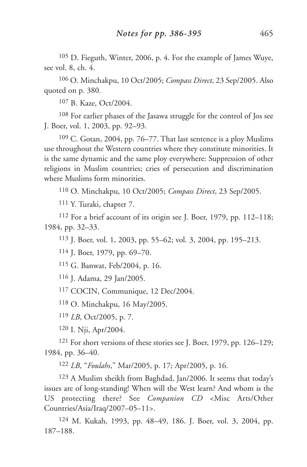105 D. Fieguth, Winter, 2006, p. 4. For the example of James Wuye, see vol. 8, ch. 4.

106 O. Minchakpu, 10 Oct/2005; *Compass Direct*, 23 Sep/2005. Also quoted on p. 380.

107 B. Kaze, Oct/2004.

108 For earlier phases of the Jasawa struggle for the control of Jos see J. Boer, vol. 1, 2003, pp. 92–93.

109 C. Gotan, 2004, pp. 76–77. That last sentence is a ploy Muslims use throughout the Western countries where they constitute minorities. It is the same dynamic and the same ploy everywhere: Suppression of other religions in Muslim countries; cries of persecution and discrimination where Muslims form minorities.

110 O. Minchakpu, 10 Oct/2005; *Compass Direct*, 23 Sep/2005.

111 Y. Turaki, chapter 7.

112 For a brief account of its origin see J. Boer, 1979, pp. 112–118; 1984, pp. 32–33.

113 J. Boer, vol. 1, 2003, pp. 55–62; vol. 3, 2004, pp. 195–213.

114 J. Boer, 1979, pp. 69–70.

115 G. Banwat, Feb/2004, p. 16.

116 J. Adama, 29 Jan/2005.

117 COCIN, Communique, 12 Dec/2004.

118 O. Minchakpu, 16 May/2005.

119 *LB*, Oct/2005, p. 7.

120 I. Nji, Apr/2004.

121 For short versions of these stories see J. Boer, 1979, pp. 126–129; 1984, pp. 36–40.

122 *LB*, "*Foulahs*," Mar/2005, p. 17; Apr/2005, p. 16.

123 A Muslim sheikh from Baghdad, Jan/2006. It seems that today's issues are of long-standing! When will the West learn? And whom is the US protecting there? See *Companion CD* <Misc Arts/Other Countries/Asia/Iraq/2007–05–11>.

124 M. Kukah, 1993, pp. 48–49, 186. J. Boer, vol. 3, 2004, pp. 187–188.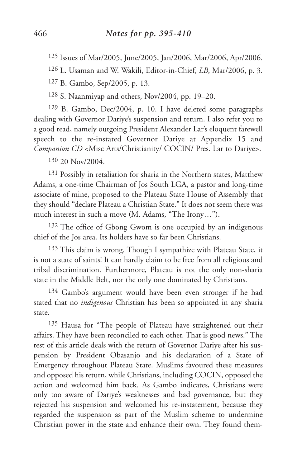125 Issues of Mar/2005, June/2005, Jan/2006, Mar/2006, Apr/2006.

126 L. Usaman and W. Wakili, Editor-in-Chief, *LB*, Mar/2006, p. 3.

127 B. Gambo, Sep/2005, p. 13.

128 S. Naanmiyap and others, Nov/2004, pp. 19–20.

129 B. Gambo, Dec/2004, p. 10. I have deleted some paragraphs dealing with Governor Dariye's suspension and return. I also refer you to a good read, namely outgoing President Alexander Lar's eloquent farewell speech to the re-instated Governor Dariye at Appendix 15 and *Companion CD* <Misc Arts/Christianity/ COCIN/ Pres. Lar to Dariye>.

130 20 Nov/2004.

131 Possibly in retaliation for sharia in the Northern states, Matthew Adams, a one-time Chairman of Jos South LGA, a pastor and long-time associate of mine, proposed to the Plateau State House of Assembly that they should "declare Plateau a Christian State." It does not seem there was much interest in such a move (M. Adams, "The Irony…").

132 The office of Gbong Gwom is one occupied by an indigenous chief of the Jos area. Its holders have so far been Christians.

133 This claim is wrong. Though I sympathize with Plateau State, it is not a state of saints! It can hardly claim to be free from all religious and tribal discrimination. Furthermore, Plateau is not the only non-sharia state in the Middle Belt, nor the only one dominated by Christians.

<sup>134</sup> Gambo's argument would have been even stronger if he had stated that no *indigenous* Christian has been so appointed in any sharia state.

135 Hausa for "The people of Plateau have straightened out their affairs. They have been reconciled to each other. That is good news." The rest of this article deals with the return of Governor Dariye after his suspension by President Obasanjo and his declaration of a State of Emergency throughout Plateau State. Muslims favoured these measures and opposed his return, while Christians, including COCIN, opposed the action and welcomed him back. As Gambo indicates, Christians were only too aware of Dariye's weaknesses and bad governance, but they rejected his suspension and welcomed his re-instatement, because they regarded the suspension as part of the Muslim scheme to undermine Christian power in the state and enhance their own. They found them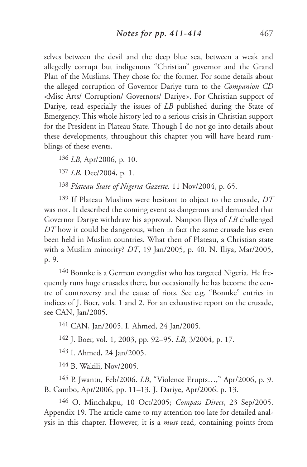selves between the devil and the deep blue sea, between a weak and allegedly corrupt but indigenous "Christian" governor and the Grand Plan of the Muslims. They chose for the former. For some details about the alleged corruption of Governor Dariye turn to the *Companion CD* <Misc Arts/ Corruption/ Governors/ Dariye>. For Christian support of Dariye, read especially the issues of *LB* published during the State of Emergency. This whole history led to a serious crisis in Christian support for the President in Plateau State. Though I do not go into details about these developments, throughout this chapter you will have heard rumblings of these events.

136 *LB*, Apr/2006, p. 10.

137 *LB*, Dec/2004, p. 1.

138 *Plateau State of Nigeria Gazette,* 11 Nov/2004, p. 65.

139 If Plateau Muslims were hesitant to object to the crusade, *DT* was not. It described the coming event as dangerous and demanded that Governor Dariye withdraw his approval. Nanpon Iliya of *LB* challenged *DT* how it could be dangerous, when in fact the same crusade has even been held in Muslim countries. What then of Plateau, a Christian state with a Muslim minority? *DT*, 19 Jan/2005, p. 40. N. Iliya, Mar/2005, p. 9.

140 Bonnke is a German evangelist who has targeted Nigeria. He frequently runs huge crusades there, but occasionally he has become the centre of controversy and the cause of riots. See e.g. "Bonnke" entries in indices of J. Boer, vols. 1 and 2. For an exhaustive report on the crusade, see CAN, Jan/2005.

141 CAN, Jan/2005. I. Ahmed, 24 Jan/2005.

142 J. Boer, vol. 1, 2003, pp. 92–95. *LB*, 3/2004, p. 17.

143 I. Ahmed, 24 Jan/2005.

144 B. Wakili, Nov/2005.

145 P. Jwantu, Feb/2006. *LB*, "Violence Erupts…," Apr/2006, p. 9. B. Gambo, Apr/2006, pp. 11–13. J. Dariye, Apr/2006. p. 13.

146 O. Minchakpu, 10 Oct/2005; *Compass Direct*, 23 Sep/2005. Appendix 19. The article came to my attention too late for detailed analysis in this chapter. However, it is a *must* read, containing points from